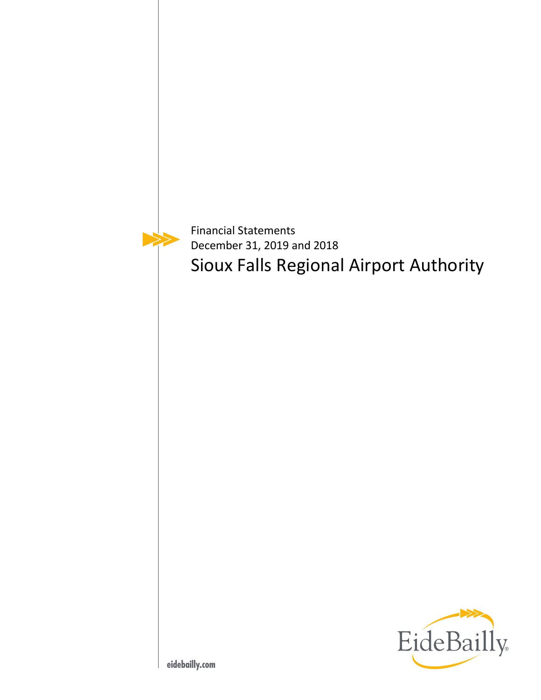Financial Statements December 31, 2019 and 2018 Sioux Falls Regional Airport Authority

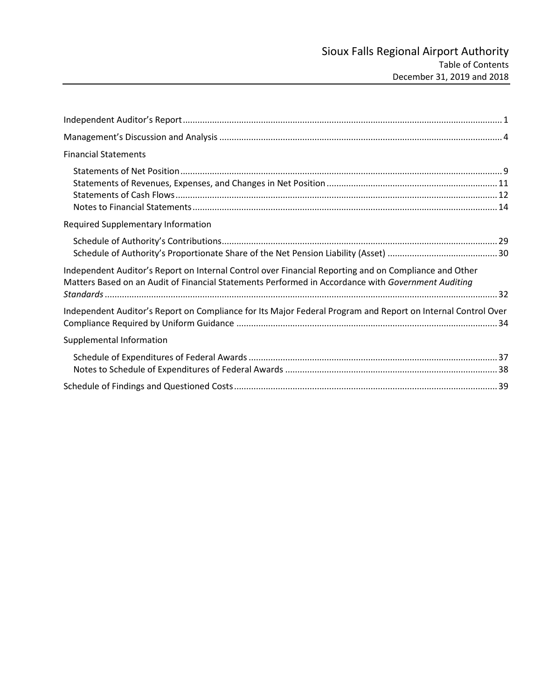| <b>Financial Statements</b>                                                                                                                                                                                 |
|-------------------------------------------------------------------------------------------------------------------------------------------------------------------------------------------------------------|
|                                                                                                                                                                                                             |
| Required Supplementary Information                                                                                                                                                                          |
|                                                                                                                                                                                                             |
| Independent Auditor's Report on Internal Control over Financial Reporting and on Compliance and Other<br>Matters Based on an Audit of Financial Statements Performed in Accordance with Government Auditing |
| Independent Auditor's Report on Compliance for Its Major Federal Program and Report on Internal Control Over                                                                                                |
| Supplemental Information                                                                                                                                                                                    |
|                                                                                                                                                                                                             |
|                                                                                                                                                                                                             |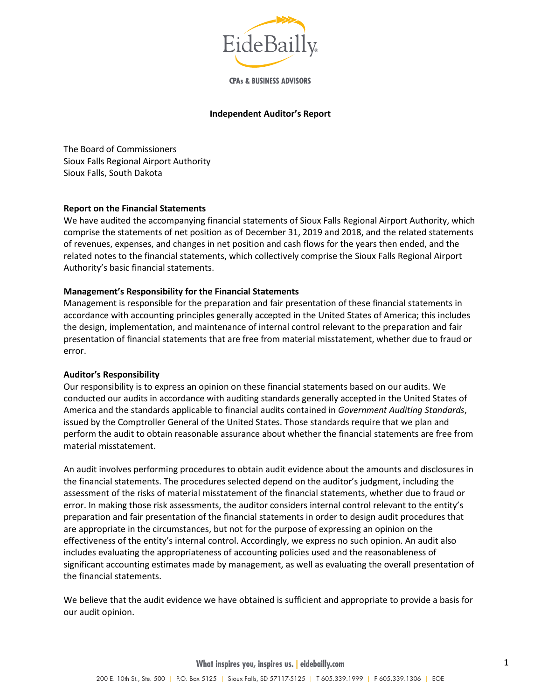

**CPAs & BUSINESS ADVISORS** 

#### **Independent Auditor's Report**

<span id="page-2-0"></span>The Board of Commissioners Sioux Falls Regional Airport Authority Sioux Falls, South Dakota

#### **Report on the Financial Statements**

We have audited the accompanying financial statements of Sioux Falls Regional Airport Authority, which comprise the statements of net position as of December 31, 2019 and 2018, and the related statements of revenues, expenses, and changes in net position and cash flows for the years then ended, and the related notes to the financial statements, which collectively comprise the Sioux Falls Regional Airport Authority's basic financial statements.

#### **Management's Responsibility for the Financial Statements**

Management is responsible for the preparation and fair presentation of these financial statements in accordance with accounting principles generally accepted in the United States of America; this includes the design, implementation, and maintenance of internal control relevant to the preparation and fair presentation of financial statements that are free from material misstatement, whether due to fraud or error.

#### **Auditor's Responsibility**

Our responsibility is to express an opinion on these financial statements based on our audits. We conducted our audits in accordance with auditing standards generally accepted in the United States of America and the standards applicable to financial audits contained in *Government Auditing Standards*, issued by the Comptroller General of the United States. Those standards require that we plan and perform the audit to obtain reasonable assurance about whether the financial statements are free from material misstatement.

An audit involves performing procedures to obtain audit evidence about the amounts and disclosures in the financial statements. The procedures selected depend on the auditor's judgment, including the assessment of the risks of material misstatement of the financial statements, whether due to fraud or error. In making those risk assessments, the auditor considers internal control relevant to the entity's preparation and fair presentation of the financial statements in order to design audit procedures that are appropriate in the circumstances, but not for the purpose of expressing an opinion on the effectiveness of the entity's internal control. Accordingly, we express no such opinion. An audit also includes evaluating the appropriateness of accounting policies used and the reasonableness of significant accounting estimates made by management, as well as evaluating the overall presentation of the financial statements.

We believe that the audit evidence we have obtained is sufficient and appropriate to provide a basis for our audit opinion.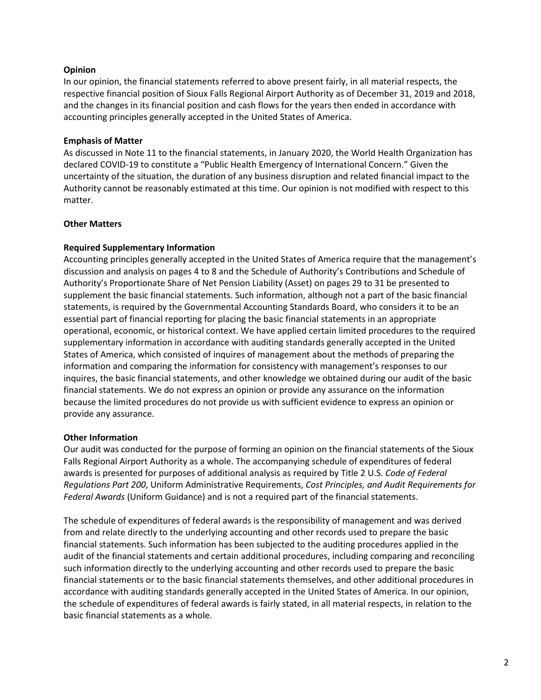#### **Opinion**

In our opinion, the financial statements referred to above present fairly, in all material respects, the respective financial position of Sioux Falls Regional Airport Authority as of December 31, 2019 and 2018, and the changes in its financial position and cash flows for the years then ended in accordance with accounting principles generally accepted in the United States of America.

#### **Emphasis of Matter**

As discussed in Note 11 to the financial statements, in January 2020, the World Health Organization has declared COVID-19 to constitute a "Public Health Emergency of International Concern." Given the uncertainty of the situation, the duration of any business disruption and related financial impact to the Authority cannot be reasonably estimated at this time. Our opinion is not modified with respect to this matter.

## **Other Matters**

# **Required Supplementary Information**

Accounting principles generally accepted in the United States of America require that the management's discussion and analysis on pages 4 to 8 and the Schedule of Authority's Contributions and Schedule of Authority's Proportionate Share of Net Pension Liability (Asset) on pages 29 to 31 be presented to supplement the basic financial statements. Such information, although not a part of the basic financial statements, is required by the Governmental Accounting Standards Board, who considers it to be an essential part of financial reporting for placing the basic financial statements in an appropriate operational, economic, or historical context. We have applied certain limited procedures to the required supplementary information in accordance with auditing standards generally accepted in the United States of America, which consisted of inquires of management about the methods of preparing the information and comparing the information for consistency with management's responses to our inquires, the basic financial statements, and other knowledge we obtained during our audit of the basic financial statements. We do not express an opinion or provide any assurance on the information because the limited procedures do not provide us with sufficient evidence to express an opinion or provide any assurance.

# **Other Information**

Our audit was conducted for the purpose of forming an opinion on the financial statements of the Sioux Falls Regional Airport Authority as a whole. The accompanying schedule of expenditures of federal awards is presented for purposes of additional analysis as required by Title 2 U.S. *Code of Federal Regulations Part 200*, Uniform Administrative Requirements, *Cost Principles, and Audit Requirements for Federal Awards* (Uniform Guidance) and is not a required part of the financial statements.

The schedule of expenditures of federal awards is the responsibility of management and was derived from and relate directly to the underlying accounting and other records used to prepare the basic financial statements. Such information has been subjected to the auditing procedures applied in the audit of the financial statements and certain additional procedures, including comparing and reconciling such information directly to the underlying accounting and other records used to prepare the basic financial statements or to the basic financial statements themselves, and other additional procedures in accordance with auditing standards generally accepted in the United States of America. In our opinion, the schedule of expenditures of federal awards is fairly stated, in all material respects, in relation to the basic financial statements as a whole.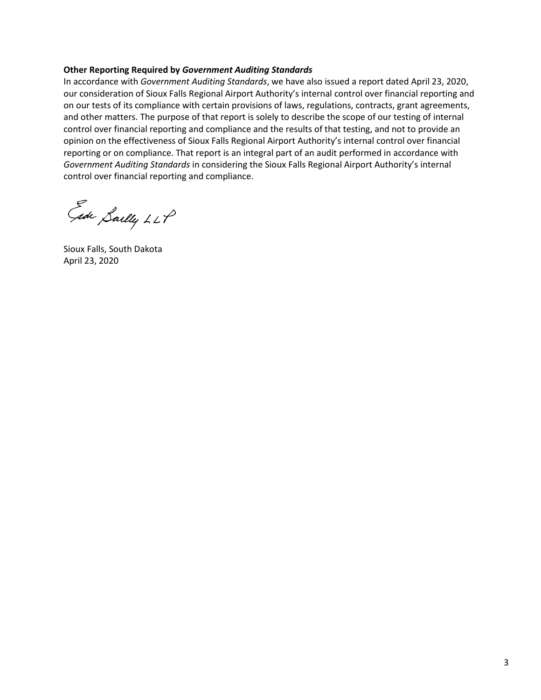#### **Other Reporting Required by** *Government Auditing Standards*

In accordance with *Government Auditing Standards*, we have also issued a report dated April 23, 2020, our consideration of Sioux Falls Regional Airport Authority's internal control over financial reporting and on our tests of its compliance with certain provisions of laws, regulations, contracts, grant agreements, and other matters. The purpose of that report is solely to describe the scope of our testing of internal control over financial reporting and compliance and the results of that testing, and not to provide an opinion on the effectiveness of Sioux Falls Regional Airport Authority's internal control over financial reporting or on compliance. That report is an integral part of an audit performed in accordance with *Government Auditing Standards* in considering the Sioux Falls Regional Airport Authority's internal control over financial reporting and compliance.

Eade Saelly LLP

Sioux Falls, South Dakota April 23, 2020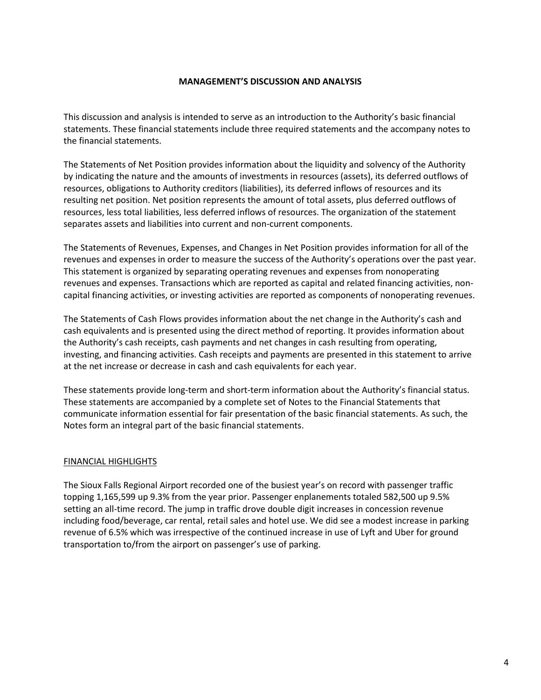#### **MANAGEMENT'S DISCUSSION AND ANALYSIS**

<span id="page-5-0"></span>This discussion and analysis is intended to serve as an introduction to the Authority's basic financial statements. These financial statements include three required statements and the accompany notes to the financial statements.

The Statements of Net Position provides information about the liquidity and solvency of the Authority by indicating the nature and the amounts of investments in resources (assets), its deferred outflows of resources, obligations to Authority creditors (liabilities), its deferred inflows of resources and its resulting net position. Net position represents the amount of total assets, plus deferred outflows of resources, less total liabilities, less deferred inflows of resources. The organization of the statement separates assets and liabilities into current and non-current components.

The Statements of Revenues, Expenses, and Changes in Net Position provides information for all of the revenues and expenses in order to measure the success of the Authority's operations over the past year. This statement is organized by separating operating revenues and expenses from nonoperating revenues and expenses. Transactions which are reported as capital and related financing activities, noncapital financing activities, or investing activities are reported as components of nonoperating revenues.

The Statements of Cash Flows provides information about the net change in the Authority's cash and cash equivalents and is presented using the direct method of reporting. It provides information about the Authority's cash receipts, cash payments and net changes in cash resulting from operating, investing, and financing activities. Cash receipts and payments are presented in this statement to arrive at the net increase or decrease in cash and cash equivalents for each year.

These statements provide long-term and short-term information about the Authority's financial status. These statements are accompanied by a complete set of Notes to the Financial Statements that communicate information essential for fair presentation of the basic financial statements. As such, the Notes form an integral part of the basic financial statements.

#### FINANCIAL HIGHLIGHTS

The Sioux Falls Regional Airport recorded one of the busiest year's on record with passenger traffic topping 1,165,599 up 9.3% from the year prior. Passenger enplanements totaled 582,500 up 9.5% setting an all-time record. The jump in traffic drove double digit increases in concession revenue including food/beverage, car rental, retail sales and hotel use. We did see a modest increase in parking revenue of 6.5% which was irrespective of the continued increase in use of Lyft and Uber for ground transportation to/from the airport on passenger's use of parking.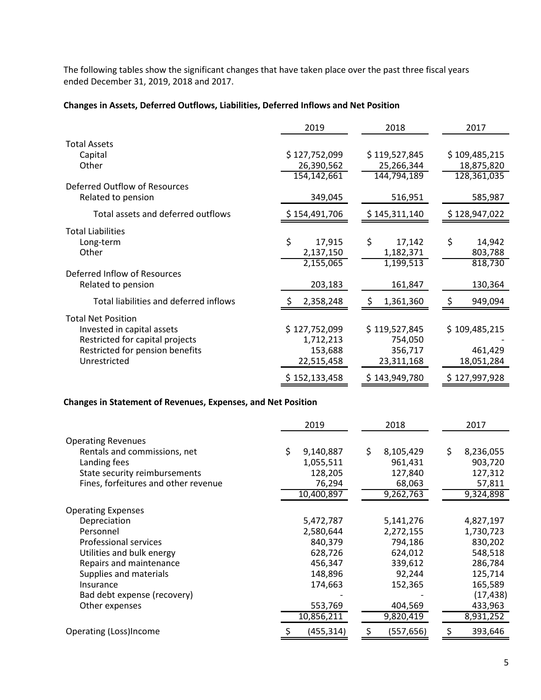The following tables show the significant changes that have taken place over the past three fiscal years ended December 31, 2019, 2018 and 2017.

# **Changes in Assets, Deferred Outflows, Liabilities, Deferred Inflows and Net Position**

|                                                     | 2019          | 2018          | 2017          |
|-----------------------------------------------------|---------------|---------------|---------------|
| <b>Total Assets</b>                                 |               |               |               |
| Capital                                             | \$127,752,099 | \$119,527,845 | \$109,485,215 |
| Other                                               | 26,390,562    | 25,266,344    | 18,875,820    |
|                                                     | 154,142,661   | 144,794,189   | 128,361,035   |
| Deferred Outflow of Resources<br>Related to pension | 349,045       | 516,951       | 585,987       |
| Total assets and deferred outflows                  | \$154,491,706 | \$145,311,140 | \$128,947,022 |
| <b>Total Liabilities</b>                            |               |               |               |
| Long-term                                           | \$<br>17,915  | \$<br>17,142  | \$<br>14,942  |
| Other                                               | 2,137,150     | 1,182,371     | 803,788       |
|                                                     | 2,155,065     | 1,199,513     | 818,730       |
| Deferred Inflow of Resources                        |               |               |               |
| Related to pension                                  | 203,183       | 161,847       | 130,364       |
| Total liabilities and deferred inflows              | 2,358,248     | 1,361,360     | 949,094       |
| <b>Total Net Position</b>                           |               |               |               |
| Invested in capital assets                          | \$127,752,099 | \$119,527,845 | \$109,485,215 |
| Restricted for capital projects                     | 1,712,213     | 754,050       |               |
| Restricted for pension benefits                     | 153,688       | 356,717       | 461,429       |
| Unrestricted                                        | 22,515,458    | 23,311,168    | 18,051,284    |
|                                                     | \$152,133,458 | \$143,949,780 | \$127,997,928 |

#### **Changes in Statement of Revenues, Expenses, and Net Position**

|                                      | 2019            | 2018            | 2017            |
|--------------------------------------|-----------------|-----------------|-----------------|
| <b>Operating Revenues</b>            |                 |                 |                 |
| Rentals and commissions, net         | \$<br>9,140,887 | \$<br>8,105,429 | \$<br>8,236,055 |
| Landing fees                         | 1,055,511       | 961,431         | 903,720         |
| State security reimbursements        | 128,205         | 127,840         | 127,312         |
| Fines, forfeitures and other revenue | 76,294          | 68,063          | 57,811          |
|                                      | 10,400,897      | 9,262,763       | 9,324,898       |
| <b>Operating Expenses</b>            |                 |                 |                 |
| Depreciation                         | 5,472,787       | 5,141,276       | 4,827,197       |
| Personnel                            | 2,580,644       | 2,272,155       | 1,730,723       |
| <b>Professional services</b>         | 840,379         | 794,186         | 830,202         |
| Utilities and bulk energy            | 628,726         | 624,012         | 548,518         |
| Repairs and maintenance              | 456,347         | 339,612         | 286,784         |
| Supplies and materials               | 148,896         | 92,244          | 125,714         |
| Insurance                            | 174,663         | 152,365         | 165,589         |
| Bad debt expense (recovery)          |                 |                 | (17, 438)       |
| Other expenses                       | 553,769         | 404,569         | 433,963         |
|                                      | 10,856,211      | 9,820,419       | 8,931,252       |
| Operating (Loss)Income               | (455,314)       | (557,656)       | 393,646<br>Ş    |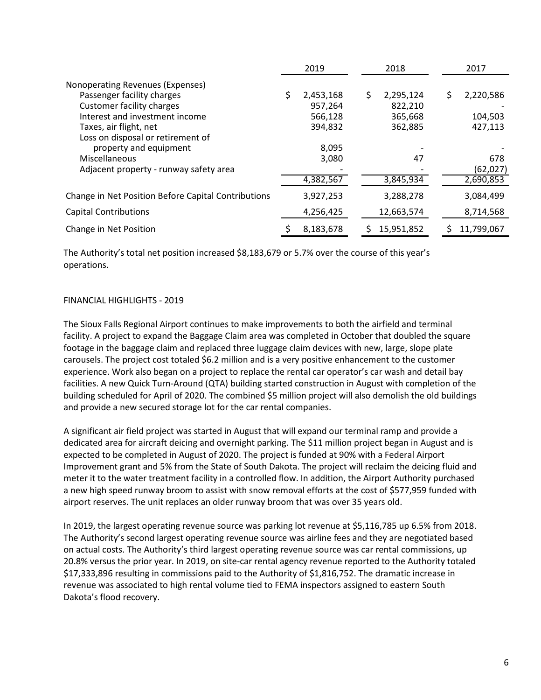|                                                     |   | 2019      | 2018            | 2017            |
|-----------------------------------------------------|---|-----------|-----------------|-----------------|
| Nonoperating Revenues (Expenses)                    |   |           |                 |                 |
| Passenger facility charges                          | S | 2,453,168 | \$<br>2,295,124 | \$<br>2,220,586 |
| <b>Customer facility charges</b>                    |   | 957,264   | 822,210         |                 |
| Interest and investment income                      |   | 566,128   | 365,668         | 104,503         |
| Taxes, air flight, net                              |   | 394,832   | 362,885         | 427,113         |
| Loss on disposal or retirement of                   |   |           |                 |                 |
| property and equipment                              |   | 8,095     |                 |                 |
| Miscellaneous                                       |   | 3,080     | 47              | 678             |
| Adjacent property - runway safety area              |   |           |                 | (62, 027)       |
|                                                     |   | 4,382,567 | 3,845,934       | 2,690,853       |
| Change in Net Position Before Capital Contributions |   | 3,927,253 | 3,288,278       | 3,084,499       |
| <b>Capital Contributions</b>                        |   | 4,256,425 | 12,663,574      | 8,714,568       |
| Change in Net Position                              |   | 8,183,678 | 15,951,852      | 11,799,067      |

The Authority's total net position increased \$8,183,679 or 5.7% over the course of this year's operations.

## FINANCIAL HIGHLIGHTS - 2019

The Sioux Falls Regional Airport continues to make improvements to both the airfield and terminal facility. A project to expand the Baggage Claim area was completed in October that doubled the square footage in the baggage claim and replaced three luggage claim devices with new, large, slope plate carousels. The project cost totaled \$6.2 million and is a very positive enhancement to the customer experience. Work also began on a project to replace the rental car operator's car wash and detail bay facilities. A new Quick Turn-Around (QTA) building started construction in August with completion of the building scheduled for April of 2020. The combined \$5 million project will also demolish the old buildings and provide a new secured storage lot for the car rental companies.

A significant air field project was started in August that will expand our terminal ramp and provide a dedicated area for aircraft deicing and overnight parking. The \$11 million project began in August and is expected to be completed in August of 2020. The project is funded at 90% with a Federal Airport Improvement grant and 5% from the State of South Dakota. The project will reclaim the deicing fluid and meter it to the water treatment facility in a controlled flow. In addition, the Airport Authority purchased a new high speed runway broom to assist with snow removal efforts at the cost of \$577,959 funded with airport reserves. The unit replaces an older runway broom that was over 35 years old.

In 2019, the largest operating revenue source was parking lot revenue at \$5,116,785 up 6.5% from 2018. The Authority's second largest operating revenue source was airline fees and they are negotiated based on actual costs. The Authority's third largest operating revenue source was car rental commissions, up 20.8% versus the prior year. In 2019, on site-car rental agency revenue reported to the Authority totaled \$17,333,896 resulting in commissions paid to the Authority of \$1,816,752. The dramatic increase in revenue was associated to high rental volume tied to FEMA inspectors assigned to eastern South Dakota's flood recovery.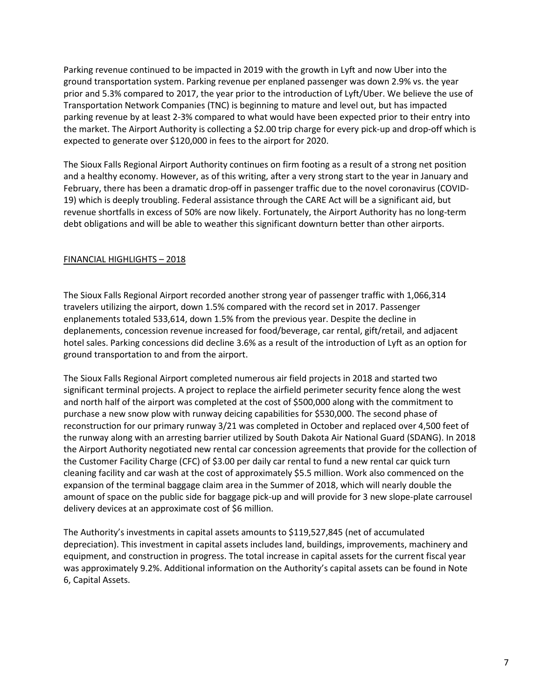Parking revenue continued to be impacted in 2019 with the growth in Lyft and now Uber into the ground transportation system. Parking revenue per enplaned passenger was down 2.9% vs. the year prior and 5.3% compared to 2017, the year prior to the introduction of Lyft/Uber. We believe the use of Transportation Network Companies (TNC) is beginning to mature and level out, but has impacted parking revenue by at least 2-3% compared to what would have been expected prior to their entry into the market. The Airport Authority is collecting a \$2.00 trip charge for every pick-up and drop-off which is expected to generate over \$120,000 in fees to the airport for 2020.

The Sioux Falls Regional Airport Authority continues on firm footing as a result of a strong net position and a healthy economy. However, as of this writing, after a very strong start to the year in January and February, there has been a dramatic drop-off in passenger traffic due to the novel coronavirus (COVID-19) which is deeply troubling. Federal assistance through the CARE Act will be a significant aid, but revenue shortfalls in excess of 50% are now likely. Fortunately, the Airport Authority has no long-term debt obligations and will be able to weather this significant downturn better than other airports.

## FINANCIAL HIGHLIGHTS – 2018

The Sioux Falls Regional Airport recorded another strong year of passenger traffic with 1,066,314 travelers utilizing the airport, down 1.5% compared with the record set in 2017. Passenger enplanements totaled 533,614, down 1.5% from the previous year. Despite the decline in deplanements, concession revenue increased for food/beverage, car rental, gift/retail, and adjacent hotel sales. Parking concessions did decline 3.6% as a result of the introduction of Lyft as an option for ground transportation to and from the airport.

The Sioux Falls Regional Airport completed numerous air field projects in 2018 and started two significant terminal projects. A project to replace the airfield perimeter security fence along the west and north half of the airport was completed at the cost of \$500,000 along with the commitment to purchase a new snow plow with runway deicing capabilities for \$530,000. The second phase of reconstruction for our primary runway 3/21 was completed in October and replaced over 4,500 feet of the runway along with an arresting barrier utilized by South Dakota Air National Guard (SDANG). In 2018 the Airport Authority negotiated new rental car concession agreements that provide for the collection of the Customer Facility Charge (CFC) of \$3.00 per daily car rental to fund a new rental car quick turn cleaning facility and car wash at the cost of approximately \$5.5 million. Work also commenced on the expansion of the terminal baggage claim area in the Summer of 2018, which will nearly double the amount of space on the public side for baggage pick-up and will provide for 3 new slope-plate carrousel delivery devices at an approximate cost of \$6 million.

The Authority's investments in capital assets amounts to \$119,527,845 (net of accumulated depreciation). This investment in capital assets includes land, buildings, improvements, machinery and equipment, and construction in progress. The total increase in capital assets for the current fiscal year was approximately 9.2%. Additional information on the Authority's capital assets can be found in Note 6, Capital Assets.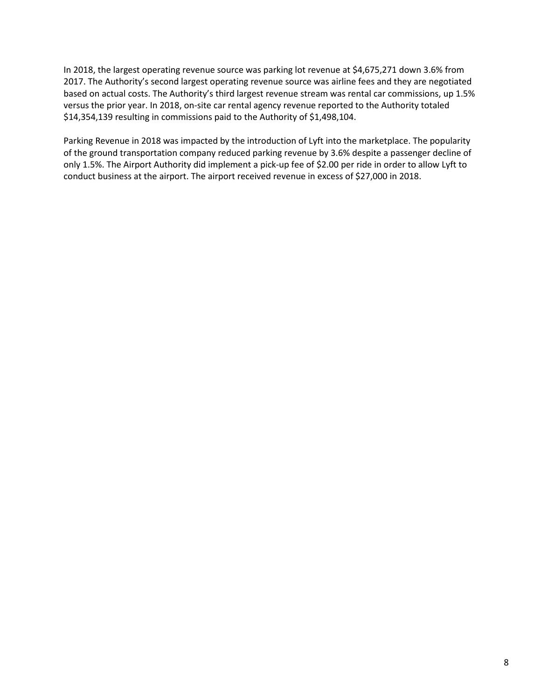In 2018, the largest operating revenue source was parking lot revenue at \$4,675,271 down 3.6% from 2017. The Authority's second largest operating revenue source was airline fees and they are negotiated based on actual costs. The Authority's third largest revenue stream was rental car commissions, up 1.5% versus the prior year. In 2018, on-site car rental agency revenue reported to the Authority totaled \$14,354,139 resulting in commissions paid to the Authority of \$1,498,104.

Parking Revenue in 2018 was impacted by the introduction of Lyft into the marketplace. The popularity of the ground transportation company reduced parking revenue by 3.6% despite a passenger decline of only 1.5%. The Airport Authority did implement a pick-up fee of \$2.00 per ride in order to allow Lyft to conduct business at the airport. The airport received revenue in excess of \$27,000 in 2018.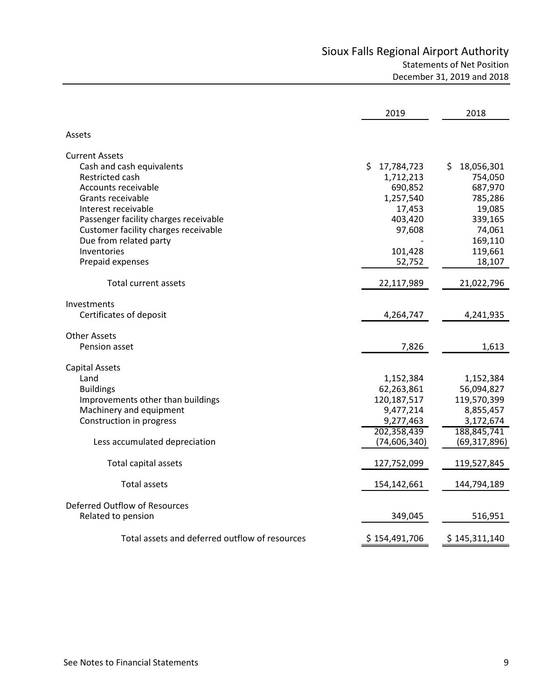# Sioux Falls Regional Airport Authority Statements of Net Position December 31, 2019 and 2018

<span id="page-10-1"></span><span id="page-10-0"></span>

|                                                | 2019              | 2018            |
|------------------------------------------------|-------------------|-----------------|
| Assets                                         |                   |                 |
| <b>Current Assets</b>                          |                   |                 |
| Cash and cash equivalents                      | \$.<br>17,784,723 | S<br>18,056,301 |
| Restricted cash                                | 1,712,213         | 754,050         |
| Accounts receivable                            | 690,852           | 687,970         |
| Grants receivable                              | 1,257,540         | 785,286         |
| Interest receivable                            | 17,453            | 19,085          |
| Passenger facility charges receivable          | 403,420           | 339,165         |
| Customer facility charges receivable           | 97,608            | 74,061          |
| Due from related party                         |                   | 169,110         |
| Inventories                                    | 101,428           | 119,661         |
| Prepaid expenses                               | 52,752            | 18,107          |
| Total current assets                           | 22,117,989        | 21,022,796      |
| Investments                                    |                   |                 |
| Certificates of deposit                        | 4,264,747         | 4,241,935       |
| <b>Other Assets</b>                            |                   |                 |
| Pension asset                                  | 7,826             | 1,613           |
| <b>Capital Assets</b>                          |                   |                 |
| Land                                           | 1,152,384         | 1,152,384       |
| <b>Buildings</b>                               | 62,263,861        | 56,094,827      |
| Improvements other than buildings              | 120,187,517       | 119,570,399     |
| Machinery and equipment                        | 9,477,214         | 8,855,457       |
| Construction in progress                       | 9,277,463         | 3,172,674       |
|                                                | 202,358,439       | 188,845,741     |
| Less accumulated depreciation                  | (74, 606, 340)    | (69, 317, 896)  |
| Total capital assets                           | 127,752,099       | 119,527,845     |
| <b>Total assets</b>                            | 154,142,661       | 144,794,189     |
| Deferred Outflow of Resources                  |                   |                 |
| Related to pension                             | 349,045           | 516,951         |
| Total assets and deferred outflow of resources | \$154,491,706     | \$145,311,140   |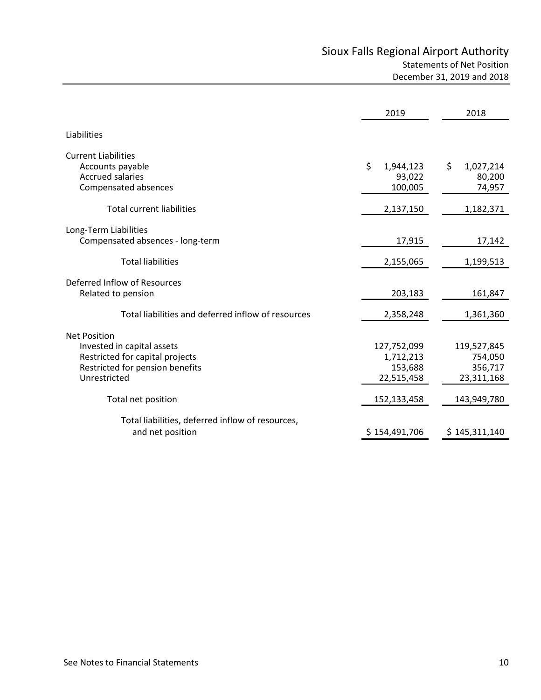|                                                                                                                                         | 2019                                              | 2018                                            |
|-----------------------------------------------------------------------------------------------------------------------------------------|---------------------------------------------------|-------------------------------------------------|
| Liabilities                                                                                                                             |                                                   |                                                 |
| <b>Current Liabilities</b><br>Accounts payable<br><b>Accrued salaries</b><br>Compensated absences                                       | \$<br>1,944,123<br>93,022<br>100,005              | \$<br>1,027,214<br>80,200<br>74,957             |
| <b>Total current liabilities</b>                                                                                                        | 2,137,150                                         | 1,182,371                                       |
| Long-Term Liabilities<br>Compensated absences - long-term                                                                               | 17,915                                            | 17,142                                          |
| <b>Total liabilities</b>                                                                                                                | 2,155,065                                         | 1,199,513                                       |
| Deferred Inflow of Resources<br>Related to pension<br>Total liabilities and deferred inflow of resources                                | 203,183<br>2,358,248                              | 161,847<br>1,361,360                            |
| <b>Net Position</b><br>Invested in capital assets<br>Restricted for capital projects<br>Restricted for pension benefits<br>Unrestricted | 127,752,099<br>1,712,213<br>153,688<br>22,515,458 | 119,527,845<br>754,050<br>356,717<br>23,311,168 |
| Total net position                                                                                                                      | 152,133,458                                       | 143,949,780                                     |
| Total liabilities, deferred inflow of resources,<br>and net position                                                                    | \$154,491,706                                     | \$145,311,140                                   |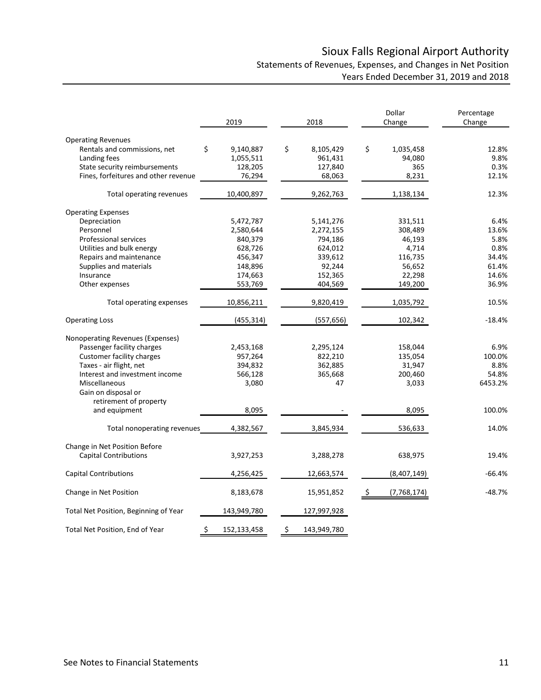# Sioux Falls Regional Airport Authority

# Statements of Revenues, Expenses, and Changes in Net Position

Years Ended December 31, 2019 and 2018

<span id="page-12-0"></span>

|                                       | 2019              | 2018              | Dollar<br>Change   | Percentage<br>Change |
|---------------------------------------|-------------------|-------------------|--------------------|----------------------|
| <b>Operating Revenues</b>             |                   |                   |                    |                      |
| Rentals and commissions, net          | \$<br>9,140,887   | \$<br>8,105,429   | \$<br>1,035,458    | 12.8%                |
| Landing fees                          | 1,055,511         | 961,431           | 94,080             | 9.8%                 |
| State security reimbursements         | 128,205           | 127,840           | 365                | 0.3%                 |
| Fines, forfeitures and other revenue  | 76,294            | 68,063            | 8,231              | 12.1%                |
| Total operating revenues              | 10,400,897        | 9,262,763         | 1,138,134          | 12.3%                |
| <b>Operating Expenses</b>             |                   |                   |                    |                      |
| Depreciation                          | 5,472,787         | 5,141,276         | 331,511            | 6.4%                 |
| Personnel                             | 2,580,644         | 2,272,155         | 308,489            | 13.6%                |
| Professional services                 | 840,379           | 794,186           | 46,193             | 5.8%                 |
| Utilities and bulk energy             | 628,726           | 624,012           | 4,714              | 0.8%                 |
| Repairs and maintenance               | 456,347           | 339,612           | 116,735            | 34.4%                |
| Supplies and materials                | 148,896           | 92,244            | 56,652             | 61.4%                |
| Insurance                             | 174,663           | 152,365           | 22,298             | 14.6%                |
| Other expenses                        | 553,769           | 404,569           | 149,200            | 36.9%                |
| Total operating expenses              | 10,856,211        | 9,820,419         | 1,035,792          | 10.5%                |
| <b>Operating Loss</b>                 | (455, 314)        | (557, 656)        | 102,342            | $-18.4%$             |
| Nonoperating Revenues (Expenses)      |                   |                   |                    |                      |
| Passenger facility charges            | 2,453,168         | 2,295,124         | 158,044            | 6.9%                 |
| <b>Customer facility charges</b>      | 957,264           | 822,210           | 135,054            | 100.0%               |
| Taxes - air flight, net               | 394,832           | 362,885           | 31,947             | 8.8%                 |
| Interest and investment income        | 566,128           | 365,668           | 200,460            | 54.8%                |
| Miscellaneous                         | 3,080             | 47                | 3,033              | 6453.2%              |
| Gain on disposal or                   |                   |                   |                    |                      |
| retirement of property                |                   |                   |                    |                      |
| and equipment                         | 8,095             |                   | 8,095              | 100.0%               |
| Total nonoperating revenues           | 4,382,567         | 3,845,934         | 536,633            | 14.0%                |
| Change in Net Position Before         |                   |                   |                    |                      |
| <b>Capital Contributions</b>          | 3,927,253         | 3,288,278         | 638,975            | 19.4%                |
| <b>Capital Contributions</b>          | 4,256,425         | 12,663,574        | (8,407,149)        | $-66.4%$             |
| Change in Net Position                | 8,183,678         | 15,951,852        | (7,768,174)<br>-\$ | $-48.7%$             |
| Total Net Position, Beginning of Year | 143,949,780       | 127,997,928       |                    |                      |
| Total Net Position, End of Year       | \$<br>152,133,458 | \$<br>143,949,780 |                    |                      |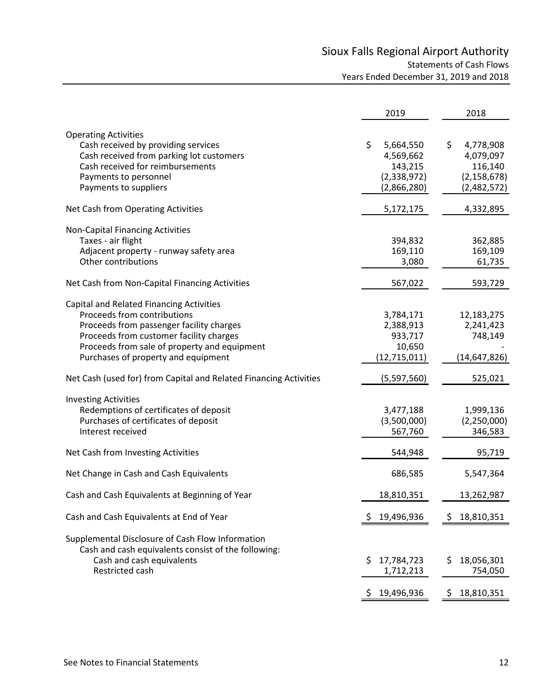# Sioux Falls Regional Airport Authority Statements of Cash Flows Years Ended December 31, 2019 and 2018

<span id="page-13-0"></span>

|                                                                                                                                                                                                                                                       | 2019                                                                  | 2018                                                                    |
|-------------------------------------------------------------------------------------------------------------------------------------------------------------------------------------------------------------------------------------------------------|-----------------------------------------------------------------------|-------------------------------------------------------------------------|
| <b>Operating Activities</b><br>Cash received by providing services<br>Cash received from parking lot customers<br>Cash received for reimbursements<br>Payments to personnel<br>Payments to suppliers                                                  | \$<br>5,664,550<br>4,569,662<br>143,215<br>(2,338,972)<br>(2,866,280) | \$<br>4,778,908<br>4,079,097<br>116,140<br>(2, 158, 678)<br>(2,482,572) |
| Net Cash from Operating Activities                                                                                                                                                                                                                    | 5,172,175                                                             | 4,332,895                                                               |
| Non-Capital Financing Activities<br>Taxes - air flight<br>Adjacent property - runway safety area<br>Other contributions                                                                                                                               | 394,832<br>169,110<br>3,080                                           | 362,885<br>169,109<br>61,735                                            |
| Net Cash from Non-Capital Financing Activities                                                                                                                                                                                                        | 567,022                                                               | 593,729                                                                 |
| Capital and Related Financing Activities<br>Proceeds from contributions<br>Proceeds from passenger facility charges<br>Proceeds from customer facility charges<br>Proceeds from sale of property and equipment<br>Purchases of property and equipment | 3,784,171<br>2,388,913<br>933,717<br>10,650<br>(12, 715, 011)         | 12,183,275<br>2,241,423<br>748,149<br>(14, 647, 826)                    |
| Net Cash (used for) from Capital and Related Financing Activities                                                                                                                                                                                     | (5,597,560)                                                           | 525,021                                                                 |
| <b>Investing Activities</b><br>Redemptions of certificates of deposit<br>Purchases of certificates of deposit<br>Interest received                                                                                                                    | 3,477,188<br>(3,500,000)<br>567,760                                   | 1,999,136<br>(2,250,000)<br>346,583                                     |
| Net Cash from Investing Activities                                                                                                                                                                                                                    | 544,948                                                               | 95,719                                                                  |
| Net Change in Cash and Cash Equivalents                                                                                                                                                                                                               | 686,585                                                               | 5,547,364                                                               |
| Cash and Cash Equivalents at Beginning of Year                                                                                                                                                                                                        | 18,810,351                                                            | 13,262,987                                                              |
| Cash and Cash Equivalents at End of Year                                                                                                                                                                                                              | 19,496,936                                                            | 18,810,351<br>Ş.                                                        |
| Supplemental Disclosure of Cash Flow Information<br>Cash and cash equivalents consist of the following:<br>Cash and cash equivalents<br>Restricted cash                                                                                               | 17,784,723<br>S.<br>1,712,213<br>\$19,496,936                         | 18,056,301<br>754,050<br>18,810,351<br>\$.                              |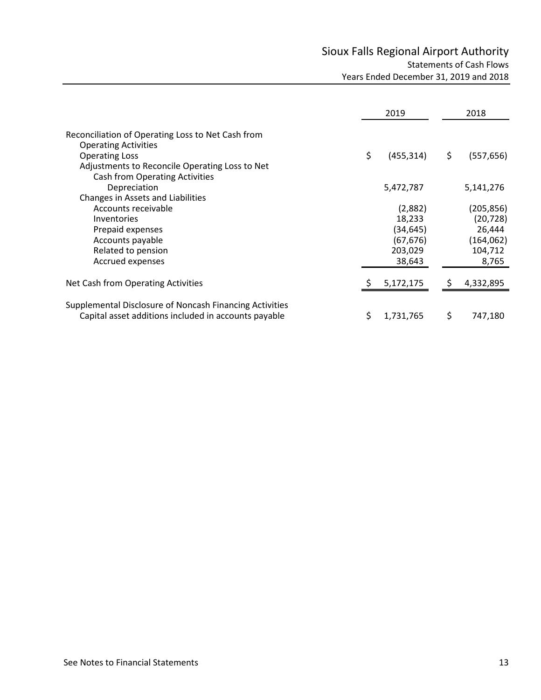# Sioux Falls Regional Airport Authority Statements of Cash Flows Years Ended December 31, 2019 and 2018

|                                                         | 2019             |    | 2018       |
|---------------------------------------------------------|------------------|----|------------|
| Reconciliation of Operating Loss to Net Cash from       |                  |    |            |
| <b>Operating Activities</b>                             |                  |    |            |
| <b>Operating Loss</b>                                   | \$<br>(455, 314) | \$ | (557, 656) |
| Adjustments to Reconcile Operating Loss to Net          |                  |    |            |
| <b>Cash from Operating Activities</b>                   |                  |    |            |
| Depreciation                                            | 5,472,787        |    | 5,141,276  |
| Changes in Assets and Liabilities                       |                  |    |            |
| Accounts receivable                                     | (2,882)          |    | (205, 856) |
| <b>Inventories</b>                                      | 18,233           |    | (20, 728)  |
| Prepaid expenses                                        | (34, 645)        |    | 26,444     |
| Accounts payable                                        | (67, 676)        |    | (164, 062) |
| Related to pension                                      | 203,029          |    | 104,712    |
| Accrued expenses                                        | 38,643           |    | 8,765      |
| Net Cash from Operating Activities                      | 5,172,175        | S. | 4,332,895  |
|                                                         |                  |    |            |
| Supplemental Disclosure of Noncash Financing Activities |                  |    |            |
| Capital asset additions included in accounts payable    | \$<br>1,731,765  | \$ | 747,180    |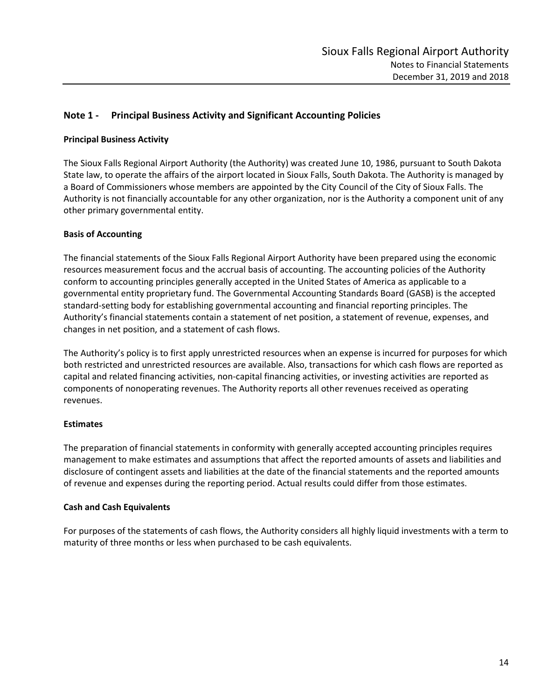# <span id="page-15-0"></span>**Note 1 - Principal Business Activity and Significant Accounting Policies**

#### **Principal Business Activity**

The Sioux Falls Regional Airport Authority (the Authority) was created June 10, 1986, pursuant to South Dakota State law, to operate the affairs of the airport located in Sioux Falls, South Dakota. The Authority is managed by a Board of Commissioners whose members are appointed by the City Council of the City of Sioux Falls. The Authority is not financially accountable for any other organization, nor is the Authority a component unit of any other primary governmental entity.

#### **Basis of Accounting**

The financial statements of the Sioux Falls Regional Airport Authority have been prepared using the economic resources measurement focus and the accrual basis of accounting. The accounting policies of the Authority conform to accounting principles generally accepted in the United States of America as applicable to a governmental entity proprietary fund. The Governmental Accounting Standards Board (GASB) is the accepted standard-setting body for establishing governmental accounting and financial reporting principles. The Authority's financial statements contain a statement of net position, a statement of revenue, expenses, and changes in net position, and a statement of cash flows.

The Authority's policy is to first apply unrestricted resources when an expense is incurred for purposes for which both restricted and unrestricted resources are available. Also, transactions for which cash flows are reported as capital and related financing activities, non-capital financing activities, or investing activities are reported as components of nonoperating revenues. The Authority reports all other revenues received as operating revenues.

#### **Estimates**

The preparation of financial statements in conformity with generally accepted accounting principles requires management to make estimates and assumptions that affect the reported amounts of assets and liabilities and disclosure of contingent assets and liabilities at the date of the financial statements and the reported amounts of revenue and expenses during the reporting period. Actual results could differ from those estimates.

#### **Cash and Cash Equivalents**

For purposes of the statements of cash flows, the Authority considers all highly liquid investments with a term to maturity of three months or less when purchased to be cash equivalents.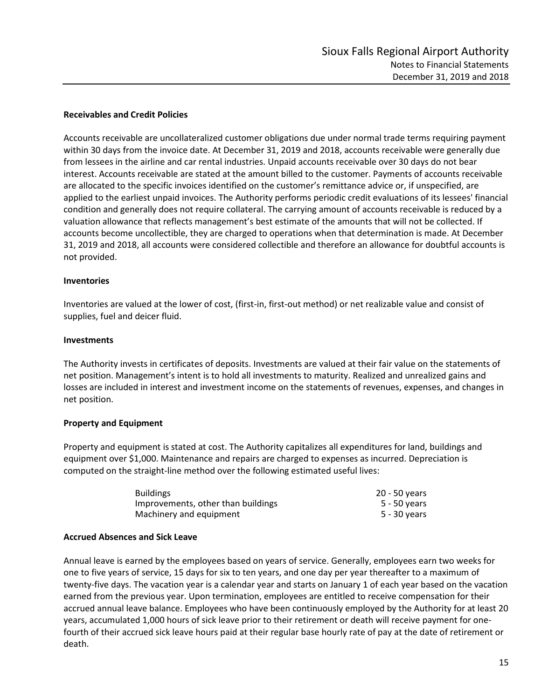#### **Receivables and Credit Policies**

Accounts receivable are uncollateralized customer obligations due under normal trade terms requiring payment within 30 days from the invoice date. At December 31, 2019 and 2018, accounts receivable were generally due from lessees in the airline and car rental industries. Unpaid accounts receivable over 30 days do not bear interest. Accounts receivable are stated at the amount billed to the customer. Payments of accounts receivable are allocated to the specific invoices identified on the customer's remittance advice or, if unspecified, are applied to the earliest unpaid invoices. The Authority performs periodic credit evaluations of its lessees' financial condition and generally does not require collateral. The carrying amount of accounts receivable is reduced by a valuation allowance that reflects management's best estimate of the amounts that will not be collected. If accounts become uncollectible, they are charged to operations when that determination is made. At December 31, 2019 and 2018, all accounts were considered collectible and therefore an allowance for doubtful accounts is not provided.

#### **Inventories**

Inventories are valued at the lower of cost, (first-in, first-out method) or net realizable value and consist of supplies, fuel and deicer fluid.

#### **Investments**

The Authority invests in certificates of deposits. Investments are valued at their fair value on the statements of net position. Management's intent is to hold all investments to maturity. Realized and unrealized gains and losses are included in interest and investment income on the statements of revenues, expenses, and changes in net position.

#### **Property and Equipment**

Property and equipment is stated at cost. The Authority capitalizes all expenditures for land, buildings and equipment over \$1,000. Maintenance and repairs are charged to expenses as incurred. Depreciation is computed on the straight-line method over the following estimated useful lives:

| <b>Buildings</b>                   | 20 - 50 years |
|------------------------------------|---------------|
| Improvements, other than buildings | 5 - 50 vears  |
| Machinery and equipment            | 5 - 30 vears  |

#### **Accrued Absences and Sick Leave**

Annual leave is earned by the employees based on years of service. Generally, employees earn two weeks for one to five years of service, 15 days for six to ten years, and one day per year thereafter to a maximum of twenty-five days. The vacation year is a calendar year and starts on January 1 of each year based on the vacation earned from the previous year. Upon termination, employees are entitled to receive compensation for their accrued annual leave balance. Employees who have been continuously employed by the Authority for at least 20 years, accumulated 1,000 hours of sick leave prior to their retirement or death will receive payment for onefourth of their accrued sick leave hours paid at their regular base hourly rate of pay at the date of retirement or death.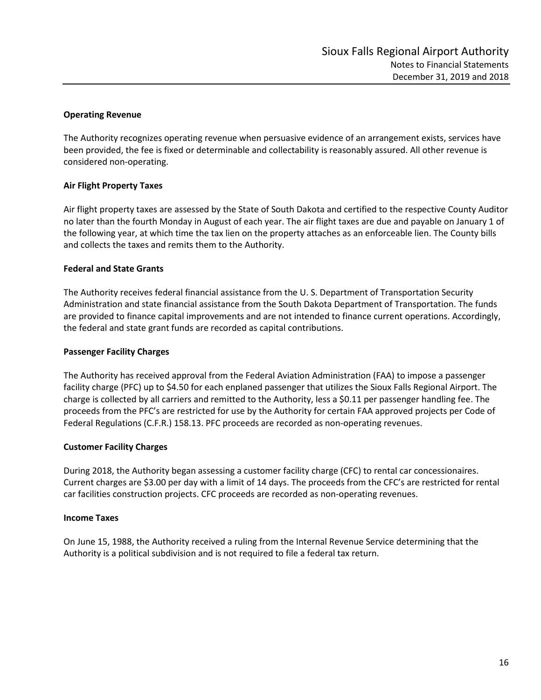#### **Operating Revenue**

The Authority recognizes operating revenue when persuasive evidence of an arrangement exists, services have been provided, the fee is fixed or determinable and collectability is reasonably assured. All other revenue is considered non-operating.

# **Air Flight Property Taxes**

Air flight property taxes are assessed by the State of South Dakota and certified to the respective County Auditor no later than the fourth Monday in August of each year. The air flight taxes are due and payable on January 1 of the following year, at which time the tax lien on the property attaches as an enforceable lien. The County bills and collects the taxes and remits them to the Authority.

## **Federal and State Grants**

The Authority receives federal financial assistance from the U. S. Department of Transportation Security Administration and state financial assistance from the South Dakota Department of Transportation. The funds are provided to finance capital improvements and are not intended to finance current operations. Accordingly, the federal and state grant funds are recorded as capital contributions.

#### **Passenger Facility Charges**

The Authority has received approval from the Federal Aviation Administration (FAA) to impose a passenger facility charge (PFC) up to \$4.50 for each enplaned passenger that utilizes the Sioux Falls Regional Airport. The charge is collected by all carriers and remitted to the Authority, less a \$0.11 per passenger handling fee. The proceeds from the PFC's are restricted for use by the Authority for certain FAA approved projects per Code of Federal Regulations (C.F.R.) 158.13. PFC proceeds are recorded as non-operating revenues.

# **Customer Facility Charges**

During 2018, the Authority began assessing a customer facility charge (CFC) to rental car concessionaires. Current charges are \$3.00 per day with a limit of 14 days. The proceeds from the CFC's are restricted for rental car facilities construction projects. CFC proceeds are recorded as non-operating revenues.

#### **Income Taxes**

On June 15, 1988, the Authority received a ruling from the Internal Revenue Service determining that the Authority is a political subdivision and is not required to file a federal tax return.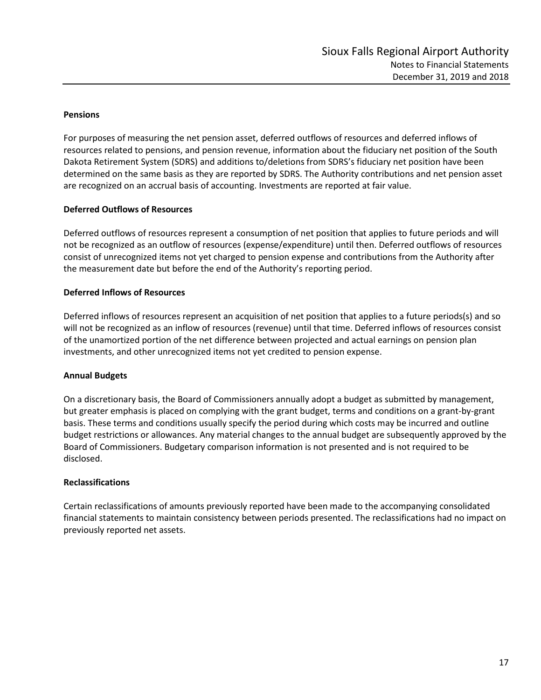#### **Pensions**

For purposes of measuring the net pension asset, deferred outflows of resources and deferred inflows of resources related to pensions, and pension revenue, information about the fiduciary net position of the South Dakota Retirement System (SDRS) and additions to/deletions from SDRS's fiduciary net position have been determined on the same basis as they are reported by SDRS. The Authority contributions and net pension asset are recognized on an accrual basis of accounting. Investments are reported at fair value.

#### **Deferred Outflows of Resources**

Deferred outflows of resources represent a consumption of net position that applies to future periods and will not be recognized as an outflow of resources (expense/expenditure) until then. Deferred outflows of resources consist of unrecognized items not yet charged to pension expense and contributions from the Authority after the measurement date but before the end of the Authority's reporting period.

#### **Deferred Inflows of Resources**

Deferred inflows of resources represent an acquisition of net position that applies to a future periods(s) and so will not be recognized as an inflow of resources (revenue) until that time. Deferred inflows of resources consist of the unamortized portion of the net difference between projected and actual earnings on pension plan investments, and other unrecognized items not yet credited to pension expense.

#### **Annual Budgets**

On a discretionary basis, the Board of Commissioners annually adopt a budget as submitted by management, but greater emphasis is placed on complying with the grant budget, terms and conditions on a grant-by-grant basis. These terms and conditions usually specify the period during which costs may be incurred and outline budget restrictions or allowances. Any material changes to the annual budget are subsequently approved by the Board of Commissioners. Budgetary comparison information is not presented and is not required to be disclosed.

#### **Reclassifications**

Certain reclassifications of amounts previously reported have been made to the accompanying consolidated financial statements to maintain consistency between periods presented. The reclassifications had no impact on previously reported net assets.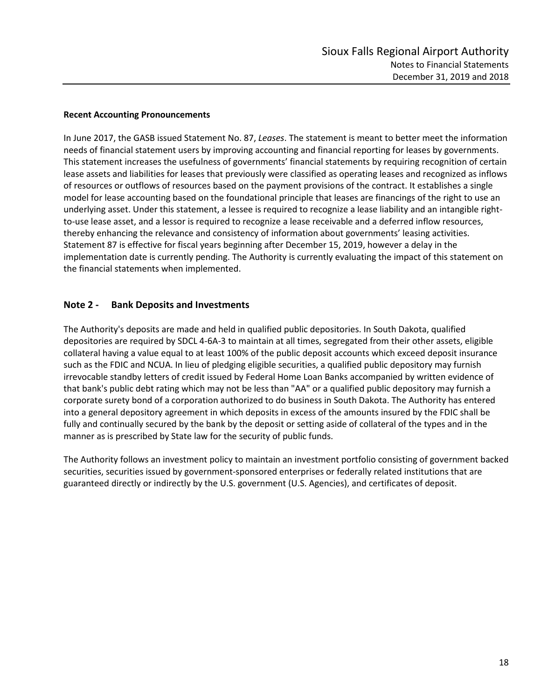#### **Recent Accounting Pronouncements**

In June 2017, the GASB issued Statement No. 87, *Leases*. The statement is meant to better meet the information needs of financial statement users by improving accounting and financial reporting for leases by governments. This statement increases the usefulness of governments' financial statements by requiring recognition of certain lease assets and liabilities for leases that previously were classified as operating leases and recognized as inflows of resources or outflows of resources based on the payment provisions of the contract. It establishes a single model for lease accounting based on the foundational principle that leases are financings of the right to use an underlying asset. Under this statement, a lessee is required to recognize a lease liability and an intangible rightto-use lease asset, and a lessor is required to recognize a lease receivable and a deferred inflow resources, thereby enhancing the relevance and consistency of information about governments' leasing activities. Statement 87 is effective for fiscal years beginning after December 15, 2019, however a delay in the implementation date is currently pending. The Authority is currently evaluating the impact of this statement on the financial statements when implemented.

## **Note 2 - Bank Deposits and Investments**

The Authority's deposits are made and held in qualified public depositories. In South Dakota, qualified depositories are required by SDCL 4-6A-3 to maintain at all times, segregated from their other assets, eligible collateral having a value equal to at least 100% of the public deposit accounts which exceed deposit insurance such as the FDIC and NCUA. In lieu of pledging eligible securities, a qualified public depository may furnish irrevocable standby letters of credit issued by Federal Home Loan Banks accompanied by written evidence of that bank's public debt rating which may not be less than "AA" or a qualified public depository may furnish a corporate surety bond of a corporation authorized to do business in South Dakota. The Authority has entered into a general depository agreement in which deposits in excess of the amounts insured by the FDIC shall be fully and continually secured by the bank by the deposit or setting aside of collateral of the types and in the manner as is prescribed by State law for the security of public funds.

The Authority follows an investment policy to maintain an investment portfolio consisting of government backed securities, securities issued by government-sponsored enterprises or federally related institutions that are guaranteed directly or indirectly by the U.S. government (U.S. Agencies), and certificates of deposit.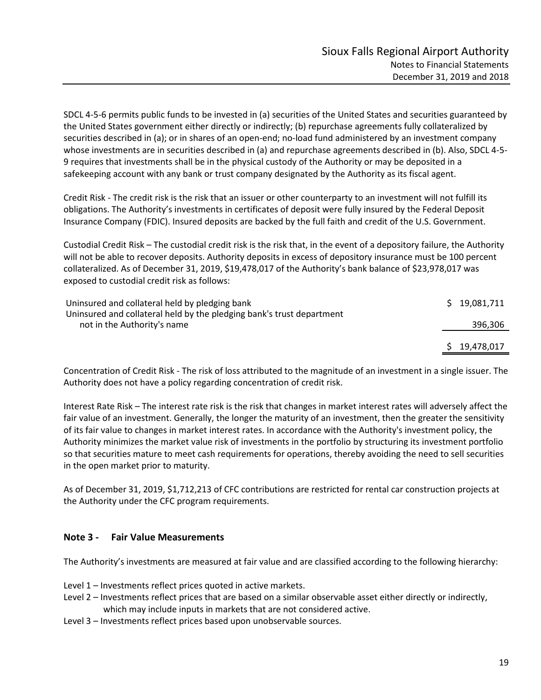SDCL 4-5-6 permits public funds to be invested in (a) securities of the United States and securities guaranteed by the United States government either directly or indirectly; (b) repurchase agreements fully collateralized by securities described in (a); or in shares of an open-end; no-load fund administered by an investment company whose investments are in securities described in (a) and repurchase agreements described in (b). Also, SDCL 4-5-9 requires that investments shall be in the physical custody of the Authority or may be deposited in a safekeeping account with any bank or trust company designated by the Authority as its fiscal agent.

Credit Risk - The credit risk is the risk that an issuer or other counterparty to an investment will not fulfill its obligations. The Authority's investments in certificates of deposit were fully insured by the Federal Deposit Insurance Company (FDIC). Insured deposits are backed by the full faith and credit of the U.S. Government.

Custodial Credit Risk – The custodial credit risk is the risk that, in the event of a depository failure, the Authority will not be able to recover deposits. Authority deposits in excess of depository insurance must be 100 percent collateralized. As of December 31, 2019, \$19,478,017 of the Authority's bank balance of \$23,978,017 was exposed to custodial credit risk as follows:

| Uninsured and collateral held by pledging bank<br>Uninsured and collateral held by the pledging bank's trust department | 19,081,711 |
|-------------------------------------------------------------------------------------------------------------------------|------------|
| not in the Authority's name                                                                                             | 396,306    |
|                                                                                                                         | 19,478,017 |

Concentration of Credit Risk - The risk of loss attributed to the magnitude of an investment in a single issuer. The Authority does not have a policy regarding concentration of credit risk.

Interest Rate Risk – The interest rate risk is the risk that changes in market interest rates will adversely affect the fair value of an investment. Generally, the longer the maturity of an investment, then the greater the sensitivity of its fair value to changes in market interest rates. In accordance with the Authority's investment policy, the Authority minimizes the market value risk of investments in the portfolio by structuring its investment portfolio so that securities mature to meet cash requirements for operations, thereby avoiding the need to sell securities in the open market prior to maturity.

As of December 31, 2019, \$1,712,213 of CFC contributions are restricted for rental car construction projects at the Authority under the CFC program requirements.

# **Note 3 - Fair Value Measurements**

The Authority's investments are measured at fair value and are classified according to the following hierarchy:

- Level 1 Investments reflect prices quoted in active markets.
- Level 2 Investments reflect prices that are based on a similar observable asset either directly or indirectly, which may include inputs in markets that are not considered active.
- Level 3 Investments reflect prices based upon unobservable sources.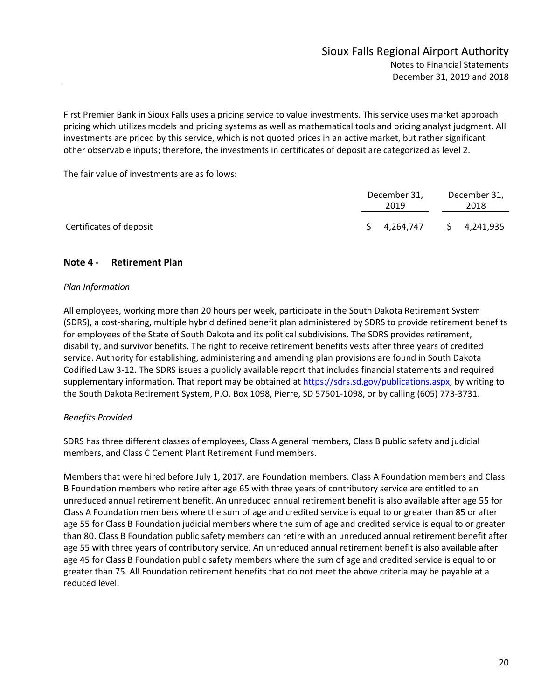First Premier Bank in Sioux Falls uses a pricing service to value investments. This service uses market approach pricing which utilizes models and pricing systems as well as mathematical tools and pricing analyst judgment. All investments are priced by this service, which is not quoted prices in an active market, but rather significant other observable inputs; therefore, the investments in certificates of deposit are categorized as level 2.

The fair value of investments are as follows:

|                         | December 31,<br>2019 |             |  | December 31,<br>2018 |  |
|-------------------------|----------------------|-------------|--|----------------------|--|
| Certificates of deposit |                      | \$4,264,747 |  | \$4,241,935          |  |

# **Note 4 - Retirement Plan**

#### *Plan Information*

All employees, working more than 20 hours per week, participate in the South Dakota Retirement System (SDRS), a cost-sharing, multiple hybrid defined benefit plan administered by SDRS to provide retirement benefits for employees of the State of South Dakota and its political subdivisions. The SDRS provides retirement, disability, and survivor benefits. The right to receive retirement benefits vests after three years of credited service. Authority for establishing, administering and amending plan provisions are found in South Dakota Codified Law 3-12. The SDRS issues a publicly available report that includes financial statements and required supplementary information. That report may be obtained at [https://sdrs.sd.gov/publications.aspx,](https://sdrs.sd.gov/publications.aspx) by writing to the South Dakota Retirement System, P.O. Box 1098, Pierre, SD 57501-1098, or by calling (605) 773-3731.

#### *Benefits Provided*

SDRS has three different classes of employees, Class A general members, Class B public safety and judicial members, and Class C Cement Plant Retirement Fund members.

Members that were hired before July 1, 2017, are Foundation members. Class A Foundation members and Class B Foundation members who retire after age 65 with three years of contributory service are entitled to an unreduced annual retirement benefit. An unreduced annual retirement benefit is also available after age 55 for Class A Foundation members where the sum of age and credited service is equal to or greater than 85 or after age 55 for Class B Foundation judicial members where the sum of age and credited service is equal to or greater than 80. Class B Foundation public safety members can retire with an unreduced annual retirement benefit after age 55 with three years of contributory service. An unreduced annual retirement benefit is also available after age 45 for Class B Foundation public safety members where the sum of age and credited service is equal to or greater than 75. All Foundation retirement benefits that do not meet the above criteria may be payable at a reduced level.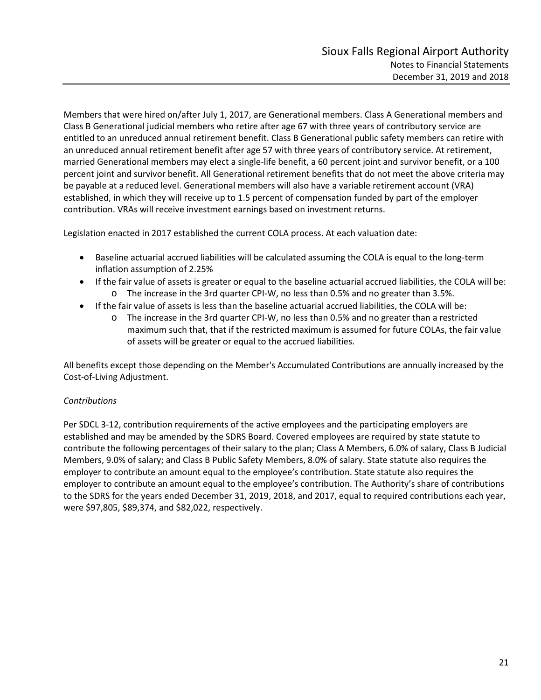Members that were hired on/after July 1, 2017, are Generational members. Class A Generational members and Class B Generational judicial members who retire after age 67 with three years of contributory service are entitled to an unreduced annual retirement benefit. Class B Generational public safety members can retire with an unreduced annual retirement benefit after age 57 with three years of contributory service. At retirement, married Generational members may elect a single-life benefit, a 60 percent joint and survivor benefit, or a 100 percent joint and survivor benefit. All Generational retirement benefits that do not meet the above criteria may be payable at a reduced level. Generational members will also have a variable retirement account (VRA) established, in which they will receive up to 1.5 percent of compensation funded by part of the employer contribution. VRAs will receive investment earnings based on investment returns.

Legislation enacted in 2017 established the current COLA process. At each valuation date:

- Baseline actuarial accrued liabilities will be calculated assuming the COLA is equal to the long-term inflation assumption of 2.25%
- If the fair value of assets is greater or equal to the baseline actuarial accrued liabilities, the COLA will be: o The increase in the 3rd quarter CPI-W, no less than 0.5% and no greater than 3.5%.
- If the fair value of assets is less than the baseline actuarial accrued liabilities, the COLA will be:
	- o The increase in the 3rd quarter CPI-W, no less than 0.5% and no greater than a restricted maximum such that, that if the restricted maximum is assumed for future COLAs, the fair value of assets will be greater or equal to the accrued liabilities.

All benefits except those depending on the Member's Accumulated Contributions are annually increased by the Cost-of-Living Adjustment.

# *Contributions*

Per SDCL 3-12, contribution requirements of the active employees and the participating employers are established and may be amended by the SDRS Board. Covered employees are required by state statute to contribute the following percentages of their salary to the plan; Class A Members, 6.0% of salary, Class B Judicial Members, 9.0% of salary; and Class B Public Safety Members, 8.0% of salary. State statute also requires the employer to contribute an amount equal to the employee's contribution. State statute also requires the employer to contribute an amount equal to the employee's contribution. The Authority's share of contributions to the SDRS for the years ended December 31, 2019, 2018, and 2017, equal to required contributions each year, were \$97,805, \$89,374, and \$82,022, respectively.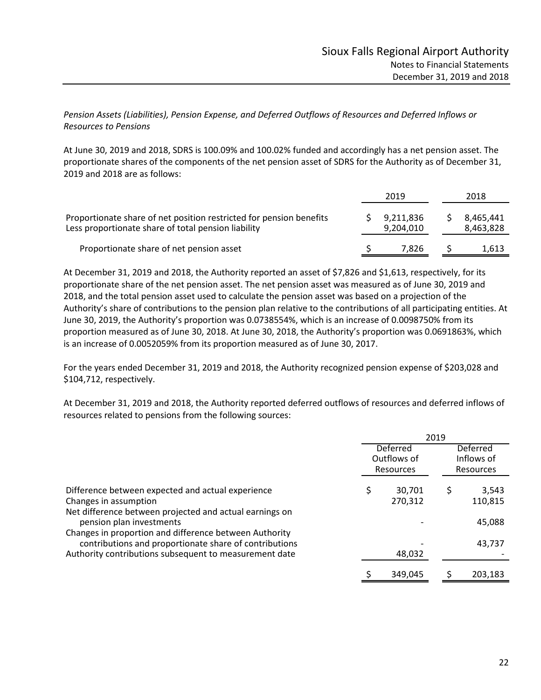*Pension Assets (Liabilities), Pension Expense, and Deferred Outflows of Resources and Deferred Inflows or Resources to Pensions*

At June 30, 2019 and 2018, SDRS is 100.09% and 100.02% funded and accordingly has a net pension asset. The proportionate shares of the components of the net pension asset of SDRS for the Authority as of December 31, 2019 and 2018 are as follows:

|                                                                                                                            | 2019                   | 2018                   |
|----------------------------------------------------------------------------------------------------------------------------|------------------------|------------------------|
| Proportionate share of net position restricted for pension benefits<br>Less proportionate share of total pension liability | 9,211,836<br>9,204,010 | 8,465,441<br>8,463,828 |
| Proportionate share of net pension asset                                                                                   | 7.826                  | 1,613                  |

At December 31, 2019 and 2018, the Authority reported an asset of \$7,826 and \$1,613, respectively, for its proportionate share of the net pension asset. The net pension asset was measured as of June 30, 2019 and 2018, and the total pension asset used to calculate the pension asset was based on a projection of the Authority's share of contributions to the pension plan relative to the contributions of all participating entities. At June 30, 2019, the Authority's proportion was 0.0738554%, which is an increase of 0.0098750% from its proportion measured as of June 30, 2018. At June 30, 2018, the Authority's proportion was 0.0691863%, which is an increase of 0.0052059% from its proportion measured as of June 30, 2017.

For the years ended December 31, 2019 and 2018, the Authority recognized pension expense of \$203,028 and \$104,712, respectively.

At December 31, 2019 and 2018, the Authority reported deferred outflows of resources and deferred inflows of resources related to pensions from the following sources:

|                                                         | 2019 |             |           |            |  |
|---------------------------------------------------------|------|-------------|-----------|------------|--|
|                                                         |      | Deferred    | Deferred  |            |  |
|                                                         |      | Outflows of |           | Inflows of |  |
|                                                         |      | Resources   | Resources |            |  |
|                                                         |      |             |           |            |  |
| Difference between expected and actual experience       | S    | 30,701      | \$        | 3,543      |  |
| Changes in assumption                                   |      | 270,312     |           | 110,815    |  |
| Net difference between projected and actual earnings on |      |             |           |            |  |
| pension plan investments                                |      |             |           | 45.088     |  |
| Changes in proportion and difference between Authority  |      |             |           |            |  |
| contributions and proportionate share of contributions  |      |             |           | 43,737     |  |
| Authority contributions subsequent to measurement date  |      | 48,032      |           |            |  |
|                                                         |      |             |           |            |  |
|                                                         |      | 349,045     |           | 203,183    |  |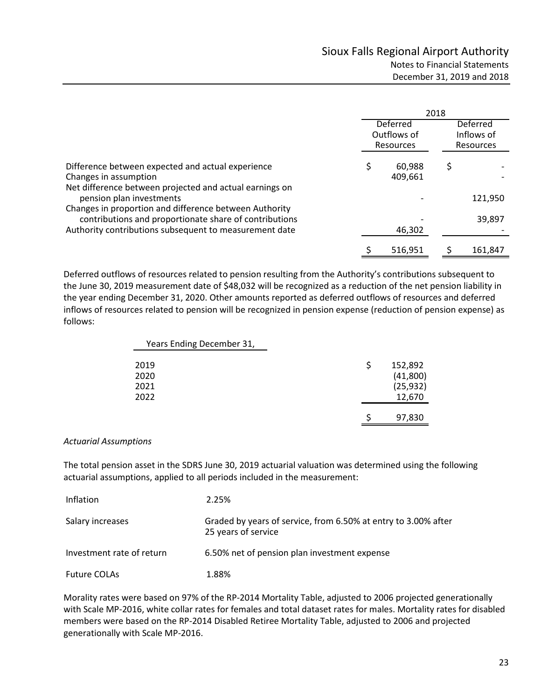|                                                                                                                                                                            | 2018                                 |                   |                                     |         |  |
|----------------------------------------------------------------------------------------------------------------------------------------------------------------------------|--------------------------------------|-------------------|-------------------------------------|---------|--|
|                                                                                                                                                                            | Deferred<br>Outflows of<br>Resources |                   | Deferred<br>Inflows of<br>Resources |         |  |
| Difference between expected and actual experience<br>Changes in assumption                                                                                                 |                                      | 60,988<br>409.661 | \$                                  |         |  |
| Net difference between projected and actual earnings on<br>pension plan investments                                                                                        |                                      |                   |                                     | 121,950 |  |
| Changes in proportion and difference between Authority<br>contributions and proportionate share of contributions<br>Authority contributions subsequent to measurement date |                                      | 46,302            |                                     | 39,897  |  |
|                                                                                                                                                                            |                                      | 516,951           |                                     | 161,847 |  |

Deferred outflows of resources related to pension resulting from the Authority's contributions subsequent to the June 30, 2019 measurement date of \$48,032 will be recognized as a reduction of the net pension liability in the year ending December 31, 2020. Other amounts reported as deferred outflows of resources and deferred inflows of resources related to pension will be recognized in pension expense (reduction of pension expense) as follows:

# Years Ending December 31,

| 2019<br>2020<br>2021<br>2022 |  | 152,892<br>(41,800)<br>(25, 932)<br>12,670 |
|------------------------------|--|--------------------------------------------|
|                              |  | 97,830                                     |

#### *Actuarial Assumptions*

The total pension asset in the SDRS June 30, 2019 actuarial valuation was determined using the following actuarial assumptions, applied to all periods included in the measurement:

| Inflation                 | 2.25%                                                                                 |
|---------------------------|---------------------------------------------------------------------------------------|
| Salary increases          | Graded by years of service, from 6.50% at entry to 3.00% after<br>25 years of service |
| Investment rate of return | 6.50% net of pension plan investment expense                                          |
| Future COLAs              | 1.88%                                                                                 |

Morality rates were based on 97% of the RP-2014 Mortality Table, adjusted to 2006 projected generationally with Scale MP-2016, white collar rates for females and total dataset rates for males. Mortality rates for disabled members were based on the RP-2014 Disabled Retiree Mortality Table, adjusted to 2006 and projected generationally with Scale MP-2016.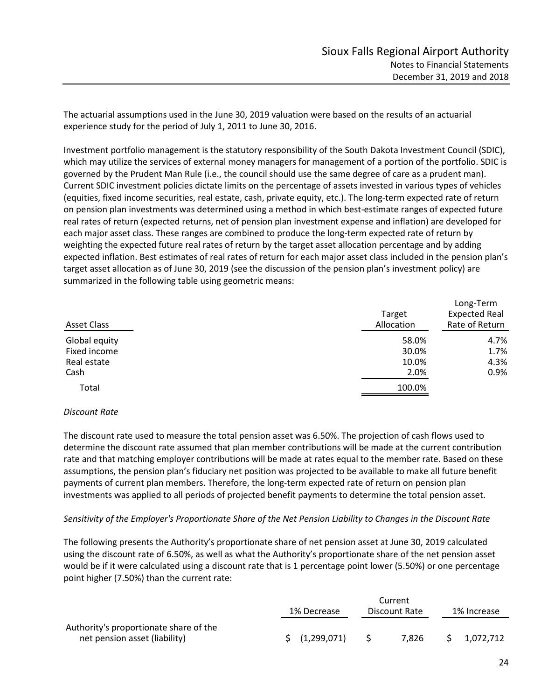The actuarial assumptions used in the June 30, 2019 valuation were based on the results of an actuarial experience study for the period of July 1, 2011 to June 30, 2016.

Investment portfolio management is the statutory responsibility of the South Dakota Investment Council (SDIC), which may utilize the services of external money managers for management of a portion of the portfolio. SDIC is governed by the Prudent Man Rule (i.e., the council should use the same degree of care as a prudent man). Current SDIC investment policies dictate limits on the percentage of assets invested in various types of vehicles (equities, fixed income securities, real estate, cash, private equity, etc.). The long-term expected rate of return on pension plan investments was determined using a method in which best-estimate ranges of expected future real rates of return (expected returns, net of pension plan investment expense and inflation) are developed for each major asset class. These ranges are combined to produce the long-term expected rate of return by weighting the expected future real rates of return by the target asset allocation percentage and by adding expected inflation. Best estimates of real rates of return for each major asset class included in the pension plan's target asset allocation as of June 30, 2019 (see the discussion of the pension plan's investment policy) are summarized in the following table using geometric means:

| <b>Asset Class</b> | Target<br>Allocation | Long-Term<br><b>Expected Real</b><br>Rate of Return |
|--------------------|----------------------|-----------------------------------------------------|
| Global equity      | 58.0%                | 4.7%                                                |
| Fixed income       | 30.0%                | 1.7%                                                |
| Real estate        | 10.0%                | 4.3%                                                |
| Cash               | 2.0%                 | 0.9%                                                |
| Total              | 100.0%               |                                                     |

#### *Discount Rate*

The discount rate used to measure the total pension asset was 6.50%. The projection of cash flows used to determine the discount rate assumed that plan member contributions will be made at the current contribution rate and that matching employer contributions will be made at rates equal to the member rate. Based on these assumptions, the pension plan's fiduciary net position was projected to be available to make all future benefit payments of current plan members. Therefore, the long-term expected rate of return on pension plan investments was applied to all periods of projected benefit payments to determine the total pension asset.

#### *Sensitivity of the Employer's Proportionate Share of the Net Pension Liability to Changes in the Discount Rate*

The following presents the Authority's proportionate share of net pension asset at June 30, 2019 calculated using the discount rate of 6.50%, as well as what the Authority's proportionate share of the net pension asset would be if it were calculated using a discount rate that is 1 percentage point lower (5.50%) or one percentage point higher (7.50%) than the current rate:

|                                                                         | Current                   |  |               |  |             |  |  |
|-------------------------------------------------------------------------|---------------------------|--|---------------|--|-------------|--|--|
|                                                                         | 1% Decrease               |  | Discount Rate |  | 1% Increase |  |  |
| Authority's proportionate share of the<br>net pension asset (liability) | $\frac{1}{2}$ (1,299,071) |  | 7.826         |  | 1.072.712   |  |  |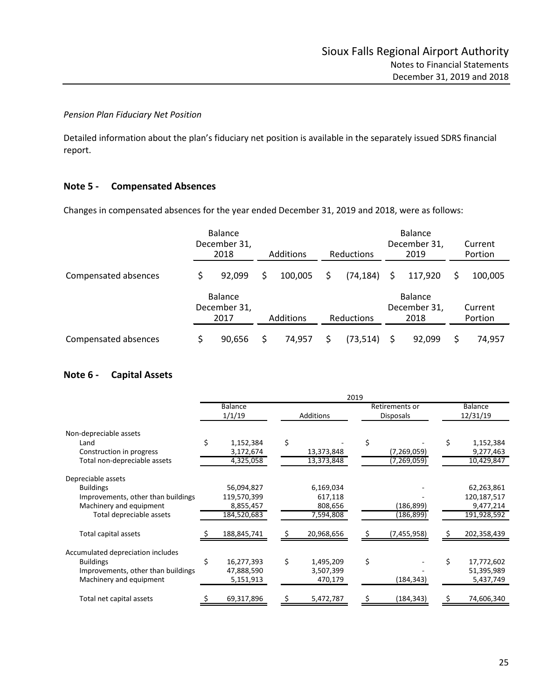*Pension Plan Fiduciary Net Position*

Detailed information about the plan's fiduciary net position is available in the separately issued SDRS financial report.

# **Note 5 - Compensated Absences**

Changes in compensated absences for the year ended December 31, 2019 and 2018, were as follows:

|                      | <b>Balance</b><br>December 31,<br>Additions<br>2018 |        |           | <b>Reductions</b> | <b>Balance</b><br>December 31,<br>2019 |           | Current<br>Portion                     |         |                    |         |
|----------------------|-----------------------------------------------------|--------|-----------|-------------------|----------------------------------------|-----------|----------------------------------------|---------|--------------------|---------|
| Compensated absences |                                                     | 92,099 |           | 100,005           | \$                                     | (74, 184) | S                                      | 117.920 |                    | 100,005 |
|                      | <b>Balance</b><br>December 31,<br>2017              |        | Additions |                   | <b>Reductions</b>                      |           | <b>Balance</b><br>December 31,<br>2018 |         | Current<br>Portion |         |
| Compensated absences |                                                     | 90,656 |           | 74,957            | S                                      | (73, 514) |                                        | 92.099  |                    | 74,957  |

# **Note 6 - Capital Assets**

|                                    | 2019                     |             |    |                  |    |                                    |    |                            |  |
|------------------------------------|--------------------------|-------------|----|------------------|----|------------------------------------|----|----------------------------|--|
|                                    | <b>Balance</b><br>1/1/19 |             |    | <b>Additions</b> |    | Retirements or<br><b>Disposals</b> |    | <b>Balance</b><br>12/31/19 |  |
| Non-depreciable assets             |                          |             |    |                  |    |                                    |    |                            |  |
| Land                               | Ś.                       | 1,152,384   | Ś. |                  | \$ |                                    | Ś  | 1,152,384                  |  |
| Construction in progress           |                          | 3,172,674   |    | 13,373,848       |    | (7,269,059)                        |    | 9,277,463                  |  |
| Total non-depreciable assets       |                          | 4,325,058   |    | 13,373,848       |    | (7,269,059)                        |    | 10,429,847                 |  |
| Depreciable assets                 |                          |             |    |                  |    |                                    |    |                            |  |
| <b>Buildings</b>                   |                          | 56,094,827  |    | 6,169,034        |    |                                    |    | 62,263,861                 |  |
| Improvements, other than buildings |                          | 119,570,399 |    | 617,118          |    |                                    |    | 120,187,517                |  |
| Machinery and equipment            |                          | 8,855,457   |    | 808,656          |    | (186, 899)                         |    | 9,477,214                  |  |
| Total depreciable assets           |                          | 184,520,683 |    | 7,594,808        |    | (186, 899)                         |    | 191,928,592                |  |
| Total capital assets               |                          | 188,845,741 |    | 20,968,656       |    | (7,455,958)                        | S  | 202,358,439                |  |
| Accumulated depreciation includes  |                          |             |    |                  |    |                                    |    |                            |  |
| <b>Buildings</b>                   | Ś.                       | 16,277,393  | \$ | 1,495,209        | \$ |                                    | \$ | 17,772,602                 |  |
| Improvements, other than buildings |                          | 47,888,590  |    | 3,507,399        |    |                                    |    | 51,395,989                 |  |
| Machinery and equipment            |                          | 5,151,913   |    | 470,179          |    | (184, 343)                         |    | 5,437,749                  |  |
| Total net capital assets           |                          | 69,317,896  |    | 5,472,787        |    | (184, 343)                         | s  | 74,606,340                 |  |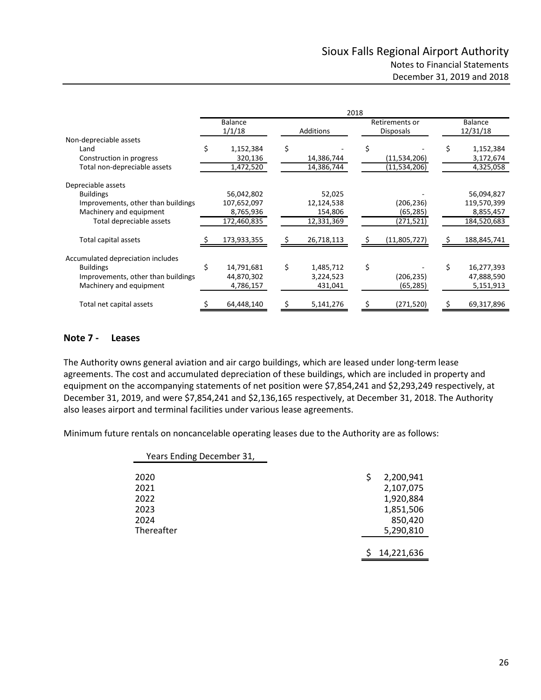# Sioux Falls Regional Airport Authority Notes to Financial Statements December 31, 2019 and 2018

|                                                                                                                                     | 2018 |                                                       |    |                                               |    |                                     |    |                                                       |
|-------------------------------------------------------------------------------------------------------------------------------------|------|-------------------------------------------------------|----|-----------------------------------------------|----|-------------------------------------|----|-------------------------------------------------------|
|                                                                                                                                     |      | <b>Balance</b><br>1/1/18                              |    | Additions                                     |    | Retirements or<br><b>Disposals</b>  |    | <b>Balance</b><br>12/31/18                            |
| Non-depreciable assets<br>Land<br>Construction in progress<br>Total non-depreciable assets                                          | Ś.   | 1,152,384<br>320,136<br>1,472,520                     | \$ | 14,386,744<br>14,386,744                      |    | (11,534,206)<br>(11,534,206)        | \$ | 1,152,384<br>3,172,674<br>4,325,058                   |
| Depreciable assets<br><b>Buildings</b><br>Improvements, other than buildings<br>Machinery and equipment<br>Total depreciable assets |      | 56,042,802<br>107,652,097<br>8,765,936<br>172,460,835 |    | 52,025<br>12,124,538<br>154,806<br>12,331,369 |    | (206,236)<br>(65, 285)<br>(271,521) |    | 56,094,827<br>119,570,399<br>8,855,457<br>184,520,683 |
| Total capital assets                                                                                                                |      | 173,933,355                                           |    | 26,718,113                                    |    | (11,805,727)                        |    | 188,845,741                                           |
| Accumulated depreciation includes<br><b>Buildings</b><br>Improvements, other than buildings<br>Machinery and equipment              | Ś    | 14,791,681<br>44,870,302<br>4,786,157                 | \$ | 1,485,712<br>3,224,523<br>431,041             | \$ | (206,235)<br>(65, 285)              | Ś. | 16,277,393<br>47,888,590<br>5,151,913                 |
| Total net capital assets                                                                                                            |      | 64,448,140                                            |    | 5,141,276                                     |    | (271,520)                           | S  | 69,317,896                                            |

# **Note 7 - Leases**

The Authority owns general aviation and air cargo buildings, which are leased under long-term lease agreements. The cost and accumulated depreciation of these buildings, which are included in property and equipment on the accompanying statements of net position were \$7,854,241 and \$2,293,249 respectively, at December 31, 2019, and were \$7,854,241 and \$2,136,165 respectively, at December 31, 2018. The Authority also leases airport and terminal facilities under various lease agreements.

Minimum future rentals on noncancelable operating leases due to the Authority are as follows:

| Years Ending December 31, |                 |
|---------------------------|-----------------|
| 2020                      | \$<br>2,200,941 |
| 2021                      | 2,107,075       |
| 2022                      | 1,920,884       |
| 2023                      | 1,851,506       |
| 2024                      | 850,420         |
| Thereafter                | 5,290,810       |
|                           |                 |
|                           | 14,221,636      |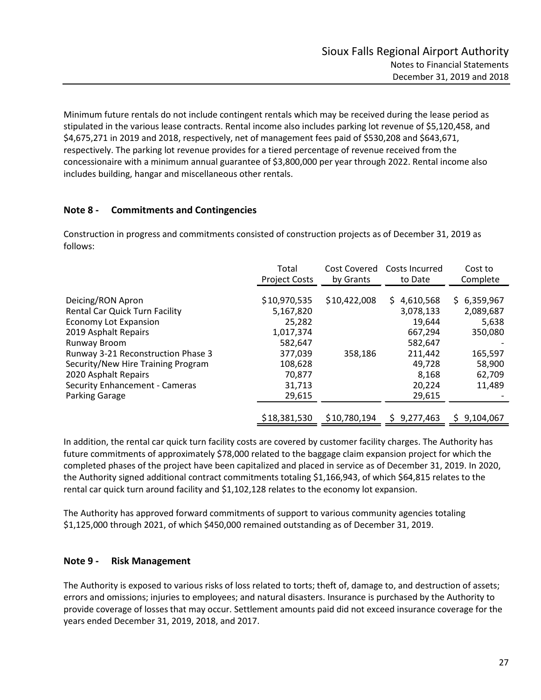Minimum future rentals do not include contingent rentals which may be received during the lease period as stipulated in the various lease contracts. Rental income also includes parking lot revenue of \$5,120,458, and \$4,675,271 in 2019 and 2018, respectively, net of management fees paid of \$530,208 and \$643,671, respectively. The parking lot revenue provides for a tiered percentage of revenue received from the concessionaire with a minimum annual guarantee of \$3,800,000 per year through 2022. Rental income also includes building, hangar and miscellaneous other rentals.

# **Note 8 - Commitments and Contingencies**

Construction in progress and commitments consisted of construction projects as of December 31, 2019 as follows:

|                                                                                                                                                                   | Total<br><b>Project Costs</b>                                          | <b>Cost Covered</b><br>by Grants | Costs Incurred<br>to Date                                               | Cost to<br>Complete                                     |
|-------------------------------------------------------------------------------------------------------------------------------------------------------------------|------------------------------------------------------------------------|----------------------------------|-------------------------------------------------------------------------|---------------------------------------------------------|
| Deicing/RON Apron<br><b>Rental Car Quick Turn Facility</b><br>Economy Lot Expansion<br>2019 Asphalt Repairs<br>Runway Broom<br>Runway 3-21 Reconstruction Phase 3 | \$10,970,535<br>5,167,820<br>25,282<br>1,017,374<br>582,647<br>377,039 | \$10,422,008<br>358,186          | 4,610,568<br>S.<br>3,078,133<br>19,644<br>667,294<br>582,647<br>211,442 | \$6,359,967<br>2,089,687<br>5,638<br>350,080<br>165,597 |
| Security/New Hire Training Program<br>2020 Asphalt Repairs<br><b>Security Enhancement - Cameras</b><br>Parking Garage                                             | 108,628<br>70,877<br>31,713<br>29,615                                  |                                  | 49,728<br>8,168<br>20,224<br>29,615                                     | 58,900<br>62,709<br>11,489                              |
|                                                                                                                                                                   | \$18,381,530                                                           | \$10,780,194                     | 9,277,463<br>S.                                                         | 9,104,067                                               |

In addition, the rental car quick turn facility costs are covered by customer facility charges. The Authority has future commitments of approximately \$78,000 related to the baggage claim expansion project for which the completed phases of the project have been capitalized and placed in service as of December 31, 2019. In 2020, the Authority signed additional contract commitments totaling \$1,166,943, of which \$64,815 relates to the rental car quick turn around facility and \$1,102,128 relates to the economy lot expansion.

The Authority has approved forward commitments of support to various community agencies totaling \$1,125,000 through 2021, of which \$450,000 remained outstanding as of December 31, 2019.

# **Note 9 - Risk Management**

The Authority is exposed to various risks of loss related to torts; theft of, damage to, and destruction of assets; errors and omissions; injuries to employees; and natural disasters. Insurance is purchased by the Authority to provide coverage of losses that may occur. Settlement amounts paid did not exceed insurance coverage for the years ended December 31, 2019, 2018, and 2017.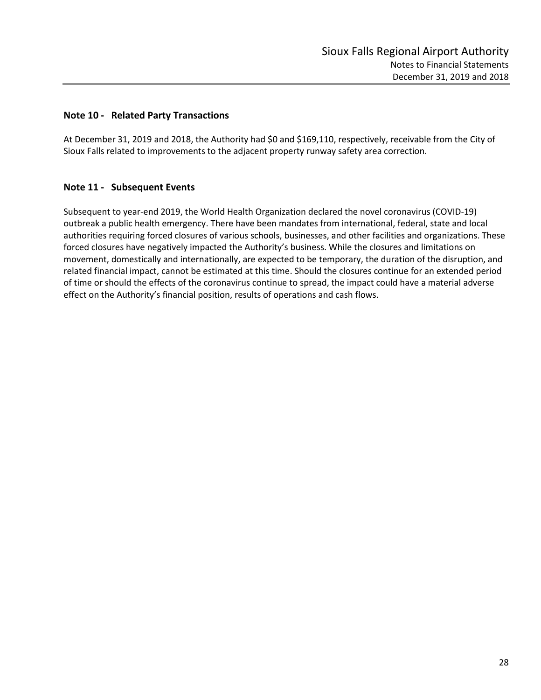## **Note 10 - Related Party Transactions**

At December 31, 2019 and 2018, the Authority had \$0 and \$169,110, respectively, receivable from the City of Sioux Falls related to improvements to the adjacent property runway safety area correction.

# **Note 11 - Subsequent Events**

Subsequent to year-end 2019, the World Health Organization declared the novel coronavirus (COVID-19) outbreak a public health emergency. There have been mandates from international, federal, state and local authorities requiring forced closures of various schools, businesses, and other facilities and organizations. These forced closures have negatively impacted the Authority's business. While the closures and limitations on movement, domestically and internationally, are expected to be temporary, the duration of the disruption, and related financial impact, cannot be estimated at this time. Should the closures continue for an extended period of time or should the effects of the coronavirus continue to spread, the impact could have a material adverse effect on the Authority's financial position, results of operations and cash flows.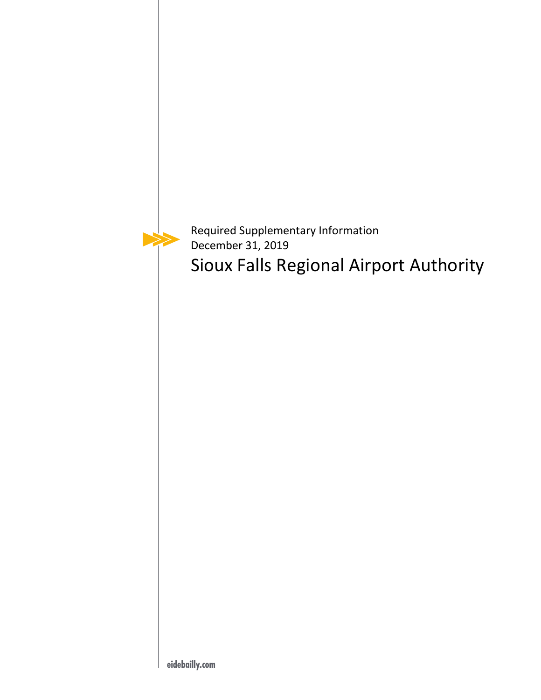

Required Supplementary Information December 31, 2019

Sioux Falls Regional Airport Authority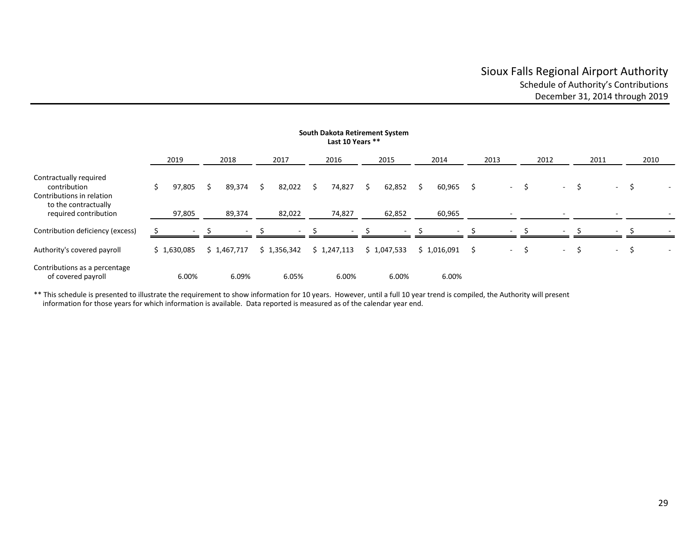<span id="page-31-0"></span>

|                                                                                             |    |             |             |    |                          |    | South Dakota Retirement System<br>Last 10 Years ** |    |             |    |             |    |            |     |            |            |      |      |
|---------------------------------------------------------------------------------------------|----|-------------|-------------|----|--------------------------|----|----------------------------------------------------|----|-------------|----|-------------|----|------------|-----|------------|------------|------|------|
|                                                                                             |    | 2019        | 2018        |    | 2017                     |    | 2016                                               |    | 2015        |    | 2014        |    | 2013       |     | 2012       | 2011       |      | 2010 |
| Contractually required<br>contribution<br>Contributions in relation<br>to the contractually | Ŝ. | 97,805      | 89,374      | S. | 82,022                   | S. | 74,827                                             | S. | 62,852      | Ŝ. | 60,965      | S  | $\sim$ $-$ | -S  | $\sim$ $-$ |            | - \$ |      |
| required contribution                                                                       |    | 97,805      | 89,374      |    | 82,022                   |    | 74,827                                             |    | 62,852      |    | 60,965      |    |            |     |            |            |      |      |
| Contribution deficiency (excess)                                                            |    |             |             |    | $\overline{\phantom{a}}$ |    | $\sim$                                             |    | $\sim$      |    | $\sim$      |    |            |     |            |            |      |      |
| Authority's covered payroll                                                                 |    | \$1,630,085 | \$1,467,717 |    | \$1,356,342              |    | \$1,247,113                                        |    | \$1,047,533 |    | \$1,016,091 | S. | $\sim$     | -\$ | $\sim$     | $\sim 100$ | - \$ |      |
| Contributions as a percentage<br>of covered payroll                                         |    | 6.00%       | 6.09%       |    | 6.05%                    |    | 6.00%                                              |    | 6.00%       |    | 6.00%       |    |            |     |            |            |      |      |

<span id="page-31-1"></span>\*\* This schedule is presented to illustrate the requirement to show information for 10 years. However, until a full 10 year trend is compiled, the Authority will present information for those years for which information is available. Data reported is measured as of the calendar year end.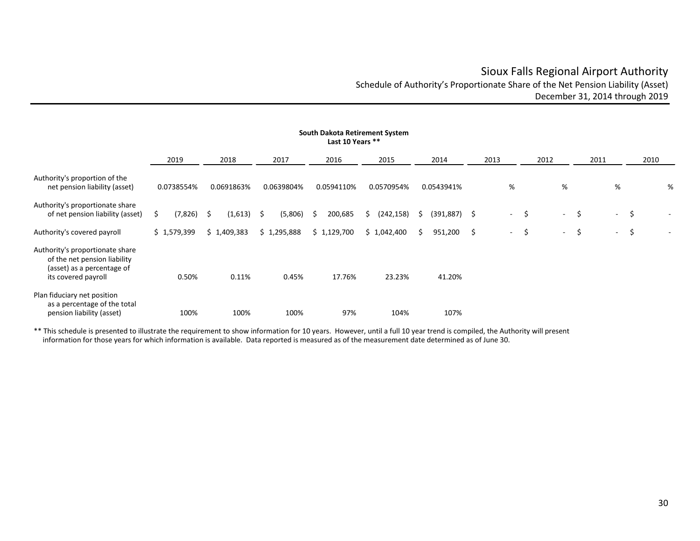# Sioux Falls Regional Airport Authority

Schedule of Authority's Proportionate Share of the Net Pension Liability (Asset) December 31, 2014 through 2019

|                                                                                                                      |               |                      |             | South Dakota Retirement System<br>Last 10 Years ** |                  |                      |                  |                |      |      |   |
|----------------------------------------------------------------------------------------------------------------------|---------------|----------------------|-------------|----------------------------------------------------|------------------|----------------------|------------------|----------------|------|------|---|
|                                                                                                                      | 2019          | 2018                 | 2017        | 2016                                               | 2015             | 2014                 | 2013             | 2012           | 2011 | 2010 |   |
| Authority's proportion of the<br>net pension liability (asset)                                                       | 0.0738554%    | 0.0691863%           | 0.0639804%  | 0.0594110%                                         | 0.0570954%       | 0.0543941%           | %                | %              | %    |      | % |
| Authority's proportionate share<br>of net pension liability (asset)                                                  | \$<br>(7,826) | $(1,613)$ \$<br>- \$ | (5,806)     | 200,685<br>-S                                      | (242, 158)<br>S. | $(391,887)$ \$<br>S. | $\sim 10^{-1}$   | - \$<br>$\sim$ | - \$ | $-5$ |   |
| Authority's covered payroll                                                                                          | \$1,579,399   | \$1,409,383          | \$1,295,888 | \$1,129,700                                        | \$1,042,400      | 951,200<br>S.        | \$<br>$\sim 100$ | -\$<br>$\sim$  | - \$ | $-5$ |   |
| Authority's proportionate share<br>of the net pension liability<br>(asset) as a percentage of<br>its covered payroll | 0.50%         | 0.11%                | 0.45%       | 17.76%                                             | 23.23%           | 41.20%               |                  |                |      |      |   |
| Plan fiduciary net position<br>as a percentage of the total<br>pension liability (asset)                             | 100%          | 100%                 | 100%        | 97%                                                | 104%             | 107%                 |                  |                |      |      |   |

<span id="page-32-0"></span>\*\* This schedule is presented to illustrate the requirement to show information for 10 years. However, until a full 10 year trend is compiled, the Authority will present information for those years for which information is available. Data reported is measured as of the measurement date determined as of June 30.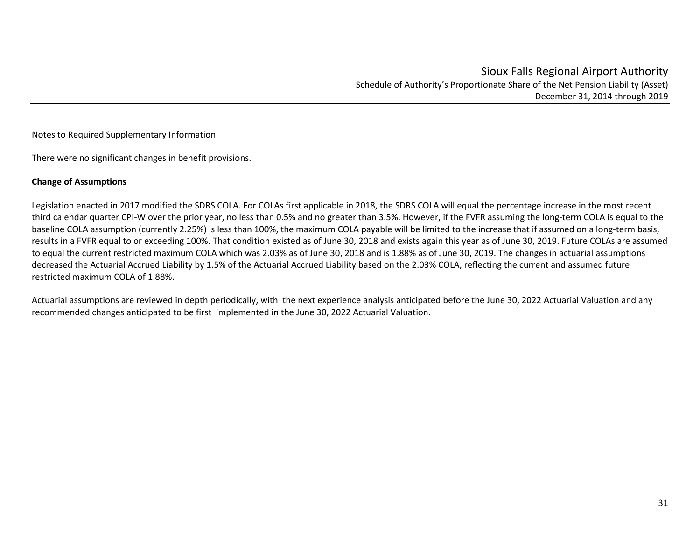#### Notes to Required Supplementary Information

There were no significant changes in benefit provisions.

#### **Change of Assumptions**

Legislation enacted in 2017 modified the SDRS COLA. For COLAs first applicable in 2018, the SDRS COLA will equal the percentage increase in the most recent third calendar quarter CPI-W over the prior year, no less than 0.5% and no greater than 3.5%. However, if the FVFR assuming the long-term COLA is equal to the baseline COLA assumption (currently 2.25%) is less than 100%, the maximum COLA payable will be limited to the increase that if assumed on a long-term basis, results in a FVFR equal to or exceeding 100%. That condition existed as of June 30, 2018 and exists again this year as of June 30, 2019. Future COLAs are assumed to equal the current restricted maximum COLA which was 2.03% as of June 30, 2018 and is 1.88% as of June 30, 2019. The changes in actuarial assumptions decreased the Actuarial Accrued Liability by 1.5% of the Actuarial Accrued Liability based on the 2.03% COLA, reflecting the current and assumed future restricted maximum COLA of 1.88%.

Actuarial assumptions are reviewed in depth periodically, with the next experience analysis anticipated before the June 30, 2022 Actuarial Valuation and any recommended changes anticipated to be first implemented in the June 30, 2022 Actuarial Valuation.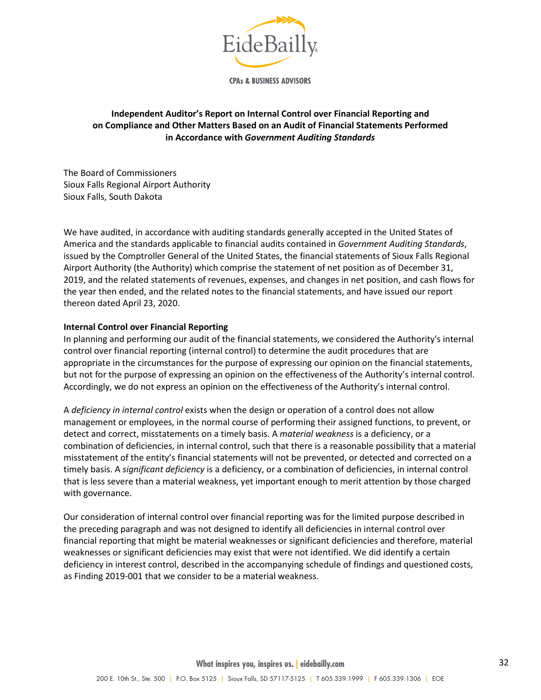

**CPAs & BUSINESS ADVISORS** 

# <span id="page-34-0"></span>**Independent Auditor's Report on Internal Control over Financial Reporting and on Compliance and Other Matters Based on an Audit of Financial Statements Performed in Accordance with** *Government Auditing Standards*

The Board of Commissioners Sioux Falls Regional Airport Authority Sioux Falls, South Dakota

We have audited, in accordance with auditing standards generally accepted in the United States of America and the standards applicable to financial audits contained in *Government Auditing Standards*, issued by the Comptroller General of the United States, the financial statements of Sioux Falls Regional Airport Authority (the Authority) which comprise the statement of net position as of December 31, 2019, and the related statements of revenues, expenses, and changes in net position, and cash flows for the year then ended, and the related notes to the financial statements, and have issued our report thereon dated April 23, 2020.

#### **Internal Control over Financial Reporting**

In planning and performing our audit of the financial statements, we considered the Authority's internal control over financial reporting (internal control) to determine the audit procedures that are appropriate in the circumstances for the purpose of expressing our opinion on the financial statements, but not for the purpose of expressing an opinion on the effectiveness of the Authority's internal control. Accordingly, we do not express an opinion on the effectiveness of the Authority's internal control.

A *deficiency in internal control* exists when the design or operation of a control does not allow management or employees, in the normal course of performing their assigned functions, to prevent, or detect and correct, misstatements on a timely basis. A *material weakness* is a deficiency, or a combination of deficiencies, in internal control, such that there is a reasonable possibility that a material misstatement of the entity's financial statements will not be prevented, or detected and corrected on a timely basis. A *significant deficiency* is a deficiency, or a combination of deficiencies, in internal control that is less severe than a material weakness, yet important enough to merit attention by those charged with governance.

Our consideration of internal control over financial reporting was for the limited purpose described in the preceding paragraph and was not designed to identify all deficiencies in internal control over financial reporting that might be material weaknesses or significant deficiencies and therefore, material weaknesses or significant deficiencies may exist that were not identified. We did identify a certain deficiency in interest control, described in the accompanying schedule of findings and questioned costs, as Finding 2019-001 that we consider to be a material weakness.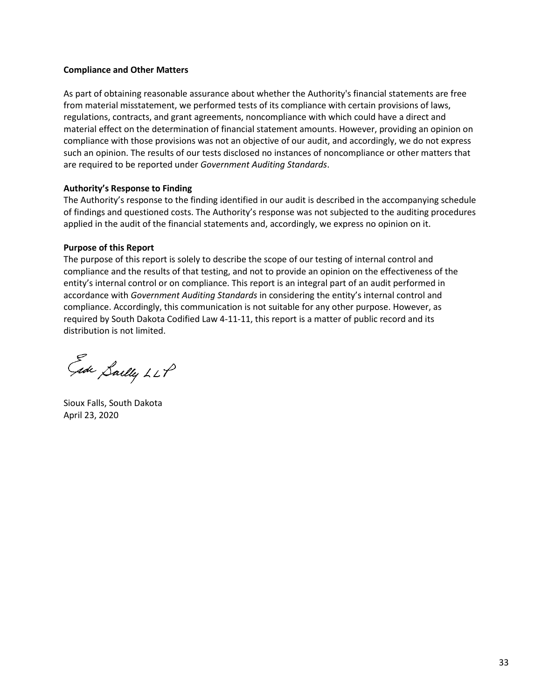#### **Compliance and Other Matters**

As part of obtaining reasonable assurance about whether the Authority's financial statements are free from material misstatement, we performed tests of its compliance with certain provisions of laws, regulations, contracts, and grant agreements, noncompliance with which could have a direct and material effect on the determination of financial statement amounts. However, providing an opinion on compliance with those provisions was not an objective of our audit, and accordingly, we do not express such an opinion. The results of our tests disclosed no instances of noncompliance or other matters that are required to be reported under *Government Auditing Standards*.

#### **Authority's Response to Finding**

The Authority's response to the finding identified in our audit is described in the accompanying schedule of findings and questioned costs. The Authority's response was not subjected to the auditing procedures applied in the audit of the financial statements and, accordingly, we express no opinion on it.

#### **Purpose of this Report**

The purpose of this report is solely to describe the scope of our testing of internal control and compliance and the results of that testing, and not to provide an opinion on the effectiveness of the entity's internal control or on compliance. This report is an integral part of an audit performed in accordance with *Government Auditing Standards* in considering the entity's internal control and compliance. Accordingly, this communication is not suitable for any other purpose. However, as required by South Dakota Codified Law 4-11-11, this report is a matter of public record and its distribution is not limited.

Ede Sailly LLP

Sioux Falls, South Dakota April 23, 2020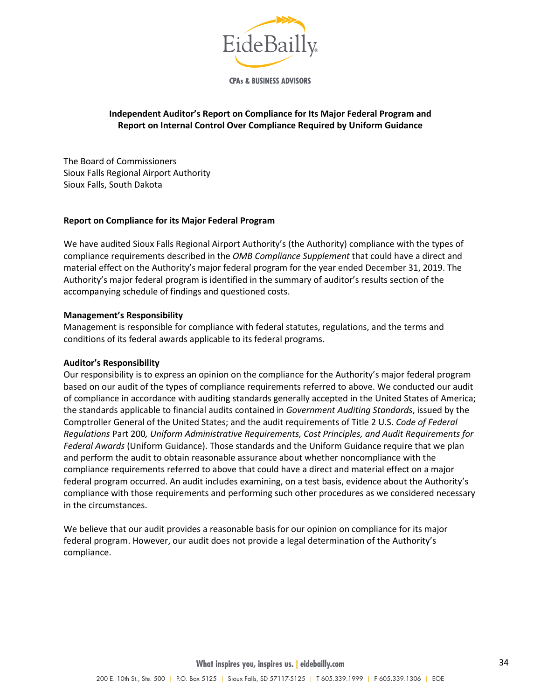

**CPAs & BUSINESS ADVISORS** 

# <span id="page-36-0"></span>**Independent Auditor's Report on Compliance for Its Major Federal Program and Report on Internal Control Over Compliance Required by Uniform Guidance**

The Board of Commissioners Sioux Falls Regional Airport Authority Sioux Falls, South Dakota

#### **Report on Compliance for its Major Federal Program**

We have audited Sioux Falls Regional Airport Authority's (the Authority) compliance with the types of compliance requirements described in the *OMB Compliance Supplement* that could have a direct and material effect on the Authority's major federal program for the year ended December 31, 2019. The Authority's major federal program is identified in the summary of auditor's results section of the accompanying schedule of findings and questioned costs.

#### **Management's Responsibility**

Management is responsible for compliance with federal statutes, regulations, and the terms and conditions of its federal awards applicable to its federal programs.

#### **Auditor's Responsibility**

Our responsibility is to express an opinion on the compliance for the Authority's major federal program based on our audit of the types of compliance requirements referred to above. We conducted our audit of compliance in accordance with auditing standards generally accepted in the United States of America; the standards applicable to financial audits contained in *Government Auditing Standards*, issued by the Comptroller General of the United States; and the audit requirements of Title 2 U.S. *Code of Federal Regulations* Part 200*, Uniform Administrative Requirements, Cost Principles, and Audit Requirements for Federal Awards* (Uniform Guidance). Those standards and the Uniform Guidance require that we plan and perform the audit to obtain reasonable assurance about whether noncompliance with the compliance requirements referred to above that could have a direct and material effect on a major federal program occurred. An audit includes examining, on a test basis, evidence about the Authority's compliance with those requirements and performing such other procedures as we considered necessary in the circumstances.

We believe that our audit provides a reasonable basis for our opinion on compliance for its major federal program. However, our audit does not provide a legal determination of the Authority's compliance.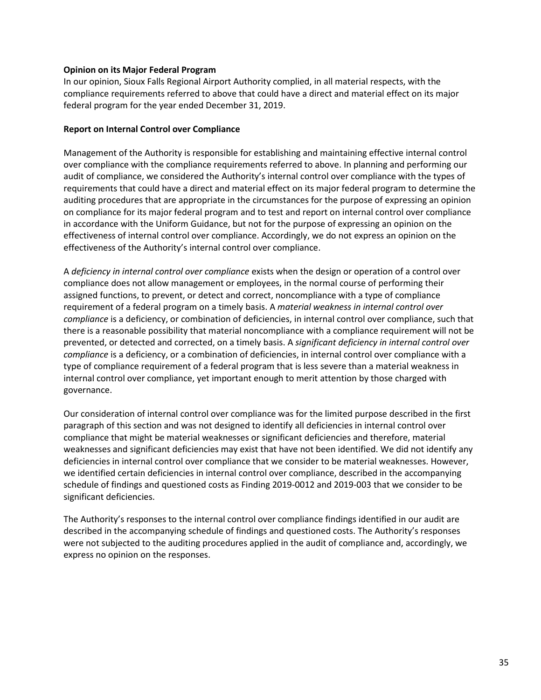#### **Opinion on its Major Federal Program**

In our opinion, Sioux Falls Regional Airport Authority complied, in all material respects, with the compliance requirements referred to above that could have a direct and material effect on its major federal program for the year ended December 31, 2019.

#### **Report on Internal Control over Compliance**

Management of the Authority is responsible for establishing and maintaining effective internal control over compliance with the compliance requirements referred to above. In planning and performing our audit of compliance, we considered the Authority's internal control over compliance with the types of requirements that could have a direct and material effect on its major federal program to determine the auditing procedures that are appropriate in the circumstances for the purpose of expressing an opinion on compliance for its major federal program and to test and report on internal control over compliance in accordance with the Uniform Guidance, but not for the purpose of expressing an opinion on the effectiveness of internal control over compliance. Accordingly, we do not express an opinion on the effectiveness of the Authority's internal control over compliance.

A *deficiency in internal control over compliance* exists when the design or operation of a control over compliance does not allow management or employees, in the normal course of performing their assigned functions, to prevent, or detect and correct, noncompliance with a type of compliance requirement of a federal program on a timely basis. A *material weakness in internal control over compliance* is a deficiency, or combination of deficiencies, in internal control over compliance, such that there is a reasonable possibility that material noncompliance with a compliance requirement will not be prevented, or detected and corrected, on a timely basis. A *significant deficiency in internal control over compliance* is a deficiency, or a combination of deficiencies, in internal control over compliance with a type of compliance requirement of a federal program that is less severe than a material weakness in internal control over compliance, yet important enough to merit attention by those charged with governance.

Our consideration of internal control over compliance was for the limited purpose described in the first paragraph of this section and was not designed to identify all deficiencies in internal control over compliance that might be material weaknesses or significant deficiencies and therefore, material weaknesses and significant deficiencies may exist that have not been identified. We did not identify any deficiencies in internal control over compliance that we consider to be material weaknesses. However, we identified certain deficiencies in internal control over compliance, described in the accompanying schedule of findings and questioned costs as Finding 2019-0012 and 2019-003 that we consider to be significant deficiencies.

The Authority's responses to the internal control over compliance findings identified in our audit are described in the accompanying schedule of findings and questioned costs. The Authority's responses were not subjected to the auditing procedures applied in the audit of compliance and, accordingly, we express no opinion on the responses.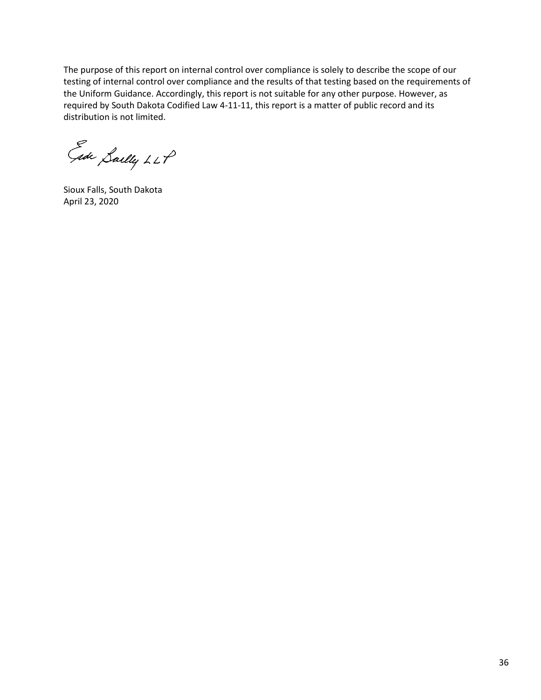The purpose of this report on internal control over compliance is solely to describe the scope of our testing of internal control over compliance and the results of that testing based on the requirements of the Uniform Guidance. Accordingly, this report is not suitable for any other purpose. However, as required by South Dakota Codified Law 4-11-11, this report is a matter of public record and its distribution is not limited.

Gede Sailly LLP

Sioux Falls, South Dakota April 23, 2020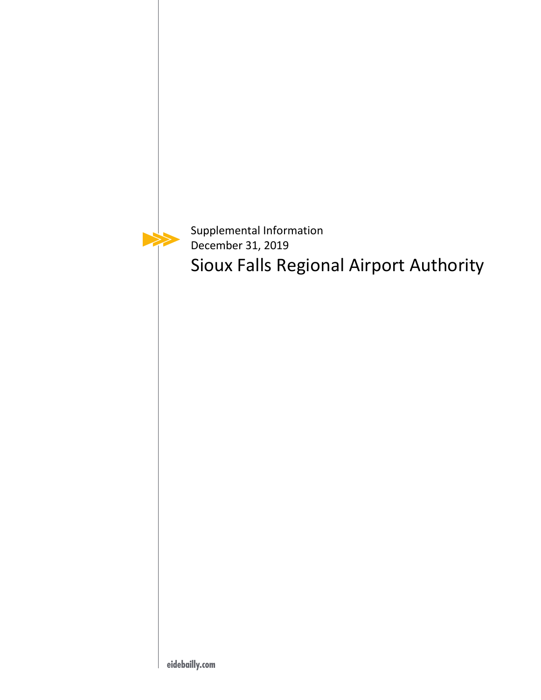<span id="page-39-0"></span>

Supplemental Information December 31, 2019 Sioux Falls Regional Airport Authority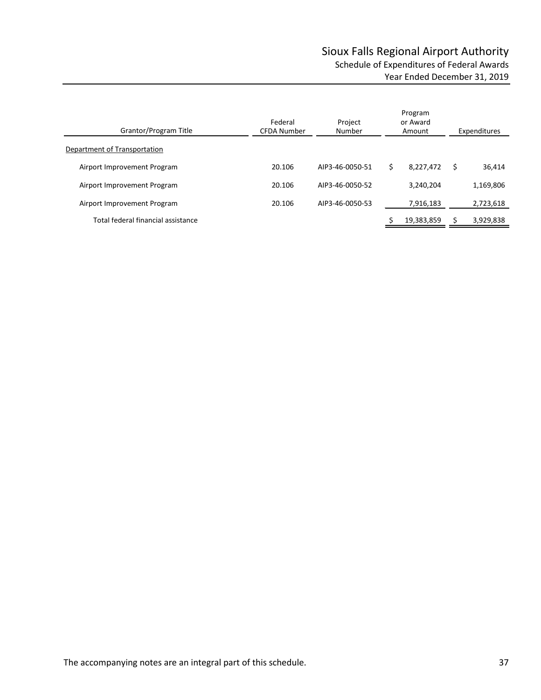# Sioux Falls Regional Airport Authority Schedule of Expenditures of Federal Awards Year Ended December 31, 2019

<span id="page-40-0"></span>

| Grantor/Program Title              | Federal<br><b>CFDA Number</b> | Project<br>Number |   | Program<br>or Award<br>Amount | Expenditures |           |  |
|------------------------------------|-------------------------------|-------------------|---|-------------------------------|--------------|-----------|--|
| Department of Transportation       |                               |                   |   |                               |              |           |  |
| Airport Improvement Program        | 20.106                        | AIP3-46-0050-51   | S | 8,227,472                     | S            | 36,414    |  |
| Airport Improvement Program        | 20.106                        | AIP3-46-0050-52   |   | 3,240,204                     |              | 1,169,806 |  |
| Airport Improvement Program        | 20.106                        | AIP3-46-0050-53   |   | 7,916,183                     |              | 2,723,618 |  |
| Total federal financial assistance |                               |                   |   | 19,383,859                    |              | 3,929,838 |  |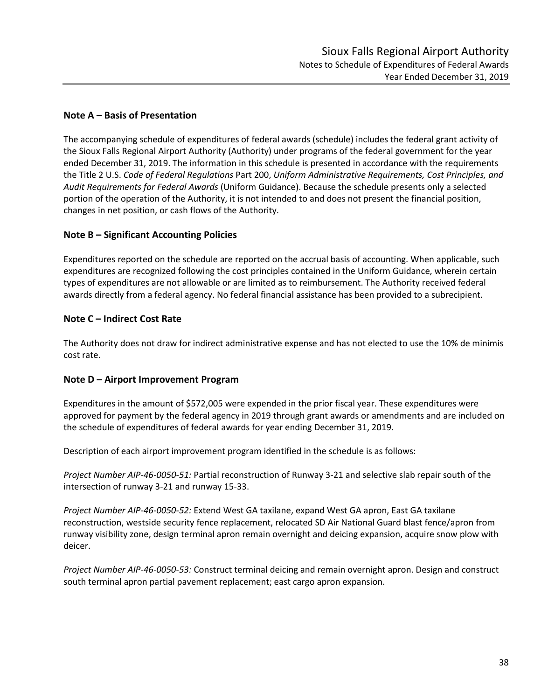# <span id="page-41-0"></span>**Note A – Basis of Presentation**

The accompanying schedule of expenditures of federal awards (schedule) includes the federal grant activity of the Sioux Falls Regional Airport Authority (Authority) under programs of the federal government for the year ended December 31, 2019. The information in this schedule is presented in accordance with the requirements the Title 2 U.S. *Code of Federal Regulations* Part 200, *Uniform Administrative Requirements, Cost Principles, and Audit Requirements for Federal Awards* (Uniform Guidance). Because the schedule presents only a selected portion of the operation of the Authority, it is not intended to and does not present the financial position, changes in net position, or cash flows of the Authority.

# **Note B – Significant Accounting Policies**

Expenditures reported on the schedule are reported on the accrual basis of accounting. When applicable, such expenditures are recognized following the cost principles contained in the Uniform Guidance, wherein certain types of expenditures are not allowable or are limited as to reimbursement. The Authority received federal awards directly from a federal agency. No federal financial assistance has been provided to a subrecipient.

# **Note C – Indirect Cost Rate**

The Authority does not draw for indirect administrative expense and has not elected to use the 10% de minimis cost rate.

# **Note D – Airport Improvement Program**

Expenditures in the amount of \$572,005 were expended in the prior fiscal year. These expenditures were approved for payment by the federal agency in 2019 through grant awards or amendments and are included on the schedule of expenditures of federal awards for year ending December 31, 2019.

Description of each airport improvement program identified in the schedule is as follows:

*Project Number AIP-46-0050-51:* Partial reconstruction of Runway 3-21 and selective slab repair south of the intersection of runway 3-21 and runway 15-33.

*Project Number AIP-46-0050-52:* Extend West GA taxilane, expand West GA apron, East GA taxilane reconstruction, westside security fence replacement, relocated SD Air National Guard blast fence/apron from runway visibility zone, design terminal apron remain overnight and deicing expansion, acquire snow plow with deicer.

*Project Number AIP-46-0050-53:* Construct terminal deicing and remain overnight apron. Design and construct south terminal apron partial pavement replacement; east cargo apron expansion.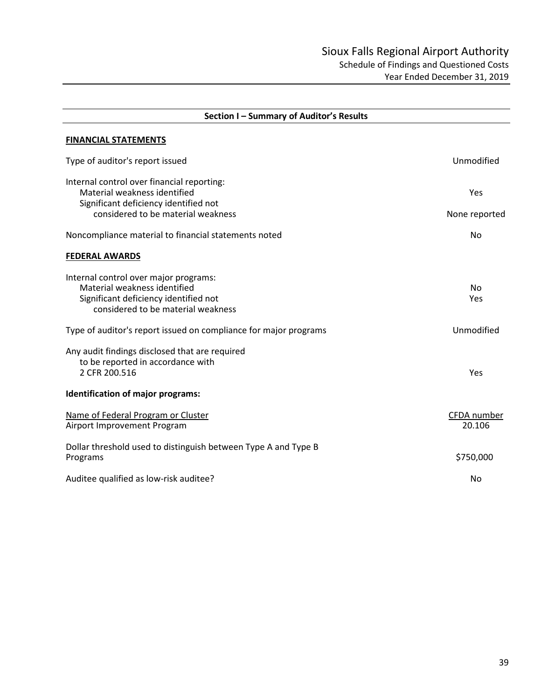<span id="page-42-0"></span>

| Section I - Summary of Auditor's Results                                                                                                             |                       |  |  |  |
|------------------------------------------------------------------------------------------------------------------------------------------------------|-----------------------|--|--|--|
| <b>FINANCIAL STATEMENTS</b>                                                                                                                          |                       |  |  |  |
| Type of auditor's report issued                                                                                                                      | Unmodified            |  |  |  |
| Internal control over financial reporting:<br>Material weakness identified<br>Significant deficiency identified not                                  | Yes                   |  |  |  |
| considered to be material weakness                                                                                                                   | None reported         |  |  |  |
| Noncompliance material to financial statements noted                                                                                                 | No                    |  |  |  |
| <b>FEDERAL AWARDS</b>                                                                                                                                |                       |  |  |  |
| Internal control over major programs:<br>Material weakness identified<br>Significant deficiency identified not<br>considered to be material weakness | <b>No</b><br>Yes      |  |  |  |
| Type of auditor's report issued on compliance for major programs                                                                                     | Unmodified            |  |  |  |
| Any audit findings disclosed that are required<br>to be reported in accordance with<br>2 CFR 200.516                                                 | Yes                   |  |  |  |
| Identification of major programs:                                                                                                                    |                       |  |  |  |
| Name of Federal Program or Cluster<br>Airport Improvement Program                                                                                    | CFDA number<br>20.106 |  |  |  |
| Dollar threshold used to distinguish between Type A and Type B<br>Programs                                                                           | \$750,000             |  |  |  |
| Auditee qualified as low-risk auditee?                                                                                                               | No                    |  |  |  |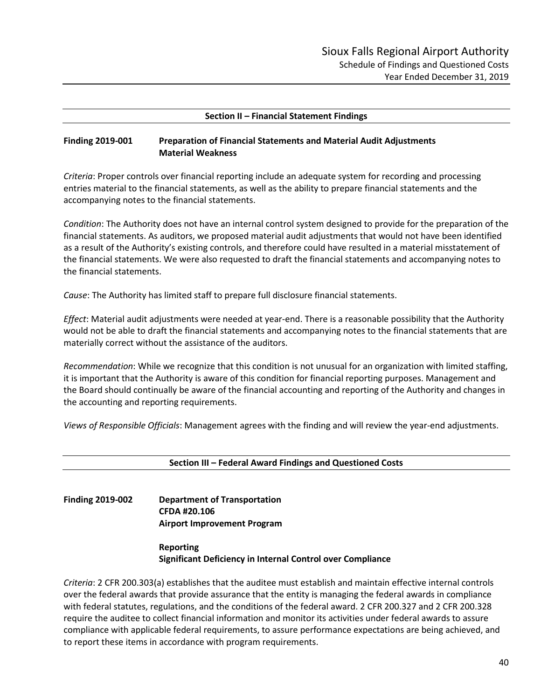#### **Section II – Financial Statement Findings**

#### **Finding 2019-001 Preparation of Financial Statements and Material Audit Adjustments Material Weakness**

*Criteria*: Proper controls over financial reporting include an adequate system for recording and processing entries material to the financial statements, as well as the ability to prepare financial statements and the accompanying notes to the financial statements.

*Condition*: The Authority does not have an internal control system designed to provide for the preparation of the financial statements. As auditors, we proposed material audit adjustments that would not have been identified as a result of the Authority's existing controls, and therefore could have resulted in a material misstatement of the financial statements. We were also requested to draft the financial statements and accompanying notes to the financial statements.

*Cause*: The Authority has limited staff to prepare full disclosure financial statements.

*Effect*: Material audit adjustments were needed at year-end. There is a reasonable possibility that the Authority would not be able to draft the financial statements and accompanying notes to the financial statements that are materially correct without the assistance of the auditors.

*Recommendation*: While we recognize that this condition is not unusual for an organization with limited staffing, it is important that the Authority is aware of this condition for financial reporting purposes. Management and the Board should continually be aware of the financial accounting and reporting of the Authority and changes in the accounting and reporting requirements.

*Views of Responsible Officials*: Management agrees with the finding and will review the year-end adjustments.

#### **Section III – Federal Award Findings and Questioned Costs**

#### **Finding 2019-002 Department of Transportation CFDA #20.106 Airport Improvement Program**

# **Reporting Significant Deficiency in Internal Control over Compliance**

*Criteria*: 2 CFR 200.303(a) establishes that the auditee must establish and maintain effective internal controls over the federal awards that provide assurance that the entity is managing the federal awards in compliance with federal statutes, regulations, and the conditions of the federal award. 2 CFR 200.327 and 2 CFR 200.328 require the auditee to collect financial information and monitor its activities under federal awards to assure compliance with applicable federal requirements, to assure performance expectations are being achieved, and to report these items in accordance with program requirements.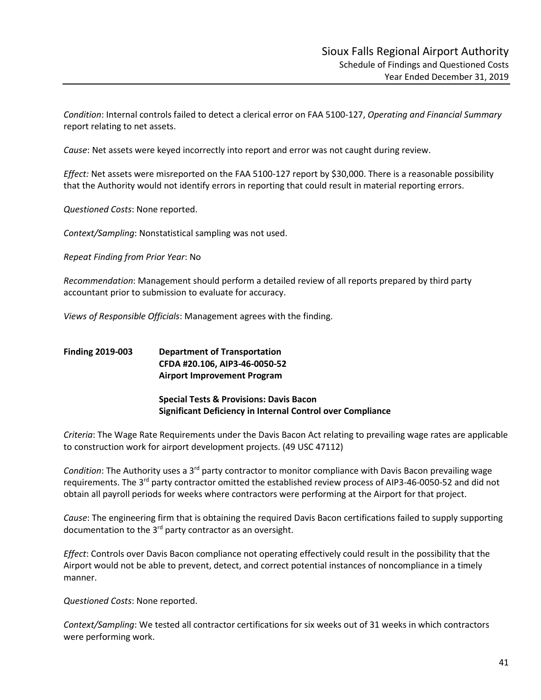*Condition*: Internal controls failed to detect a clerical error on FAA 5100-127, *Operating and Financial Summary* report relating to net assets.

*Cause*: Net assets were keyed incorrectly into report and error was not caught during review.

*Effect:* Net assets were misreported on the FAA 5100-127 report by \$30,000. There is a reasonable possibility that the Authority would not identify errors in reporting that could result in material reporting errors.

*Questioned Costs*: None reported.

*Context/Sampling*: Nonstatistical sampling was not used.

*Repeat Finding from Prior Year*: No

*Recommendation*: Management should perform a detailed review of all reports prepared by third party accountant prior to submission to evaluate for accuracy.

*Views of Responsible Officials*: Management agrees with the finding.

**Finding 2019-003 Department of Transportation CFDA #20.106, AIP3-46-0050-52 Airport Improvement Program**

> **Special Tests & Provisions: Davis Bacon Significant Deficiency in Internal Control over Compliance**

*Criteria*: The Wage Rate Requirements under the Davis Bacon Act relating to prevailing wage rates are applicable to construction work for airport development projects. (49 USC 47112)

*Condition*: The Authority uses a 3<sup>rd</sup> party contractor to monitor compliance with Davis Bacon prevailing wage requirements. The 3rd party contractor omitted the established review process of AIP3-46-0050-52 and did not obtain all payroll periods for weeks where contractors were performing at the Airport for that project.

*Cause*: The engineering firm that is obtaining the required Davis Bacon certifications failed to supply supporting documentation to the 3<sup>rd</sup> party contractor as an oversight.

*Effect*: Controls over Davis Bacon compliance not operating effectively could result in the possibility that the Airport would not be able to prevent, detect, and correct potential instances of noncompliance in a timely manner.

*Questioned Costs*: None reported.

*Context/Sampling*: We tested all contractor certifications for six weeks out of 31 weeks in which contractors were performing work.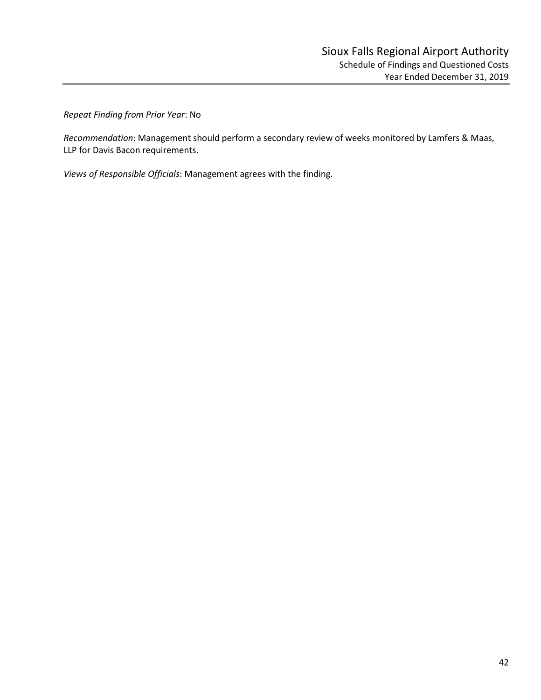*Repeat Finding from Prior Year*: No

*Recommendation*: Management should perform a secondary review of weeks monitored by Lamfers & Maas, LLP for Davis Bacon requirements.

*Views of Responsible Officials*: Management agrees with the finding.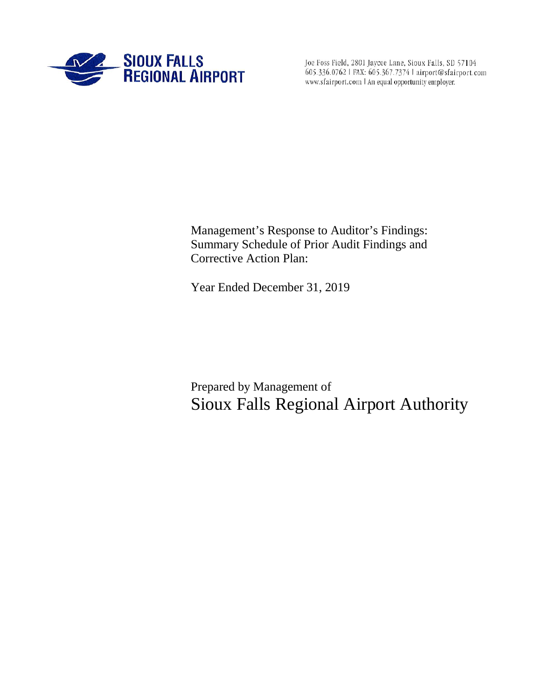

Joe Foss Field, 2801 Jaycee Lane, Sioux Falls, SD 57104 605.336.0762 | FAX: 605.367.7374 | airport@sfairport.com www.sfairport.com | An equal opportunity employer.

Management's Response to Auditor's Findings: Summary Schedule of Prior Audit Findings and Corrective Action Plan:

Year Ended December 31, 2019

Prepared by Management of Sioux Falls Regional Airport Authority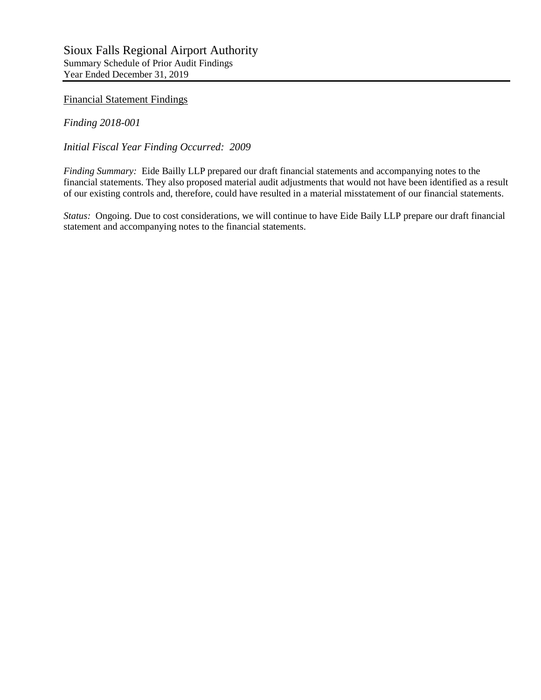Financial Statement Findings

*Finding 2018-001*

*Initial Fiscal Year Finding Occurred: 2009*

*Finding Summary:* Eide Bailly LLP prepared our draft financial statements and accompanying notes to the financial statements. They also proposed material audit adjustments that would not have been identified as a result of our existing controls and, therefore, could have resulted in a material misstatement of our financial statements.

*Status:* Ongoing. Due to cost considerations, we will continue to have Eide Baily LLP prepare our draft financial statement and accompanying notes to the financial statements.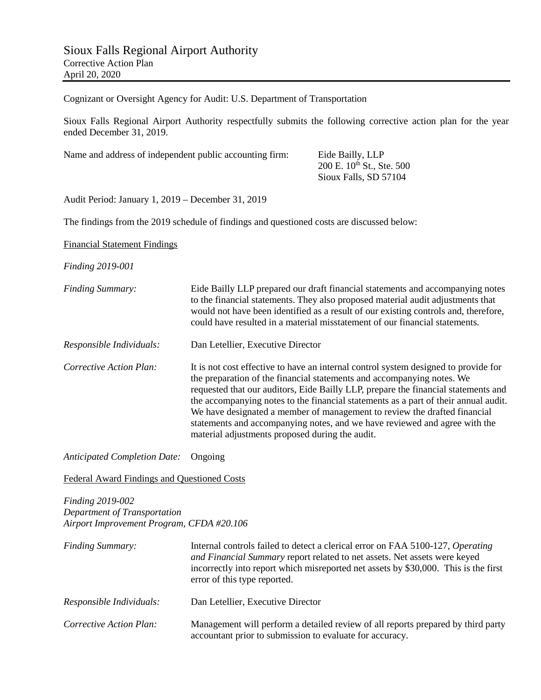Cognizant or Oversight Agency for Audit: U.S. Department of Transportation

Sioux Falls Regional Airport Authority respectfully submits the following corrective action plan for the year ended December 31, 2019.

Name and address of independent public accounting firm: Eide Bailly, LLP

200 E. 10<sup>th</sup> St., Ste. 500 Sioux Falls, SD 57104

Audit Period: January 1, 2019 – December 31, 2019

The findings from the 2019 schedule of findings and questioned costs are discussed below:

Financial Statement Findings

*Finding 2019-001*

| <b>Finding Summary:</b>  | Eide Bailly LLP prepared our draft financial statements and accompanying notes<br>to the financial statements. They also proposed material audit adjustments that<br>would not have been identified as a result of our existing controls and, therefore,<br>could have resulted in a material misstatement of our financial statements.                                                                                                                                                                                                                  |
|--------------------------|----------------------------------------------------------------------------------------------------------------------------------------------------------------------------------------------------------------------------------------------------------------------------------------------------------------------------------------------------------------------------------------------------------------------------------------------------------------------------------------------------------------------------------------------------------|
| Responsible Individuals: | Dan Letellier, Executive Director                                                                                                                                                                                                                                                                                                                                                                                                                                                                                                                        |
| Corrective Action Plan:  | It is not cost effective to have an internal control system designed to provide for<br>the preparation of the financial statements and accompanying notes. We<br>requested that our auditors, Eide Bailly LLP, prepare the financial statements and<br>the accompanying notes to the financial statements as a part of their annual audit.<br>We have designated a member of management to review the drafted financial<br>statements and accompanying notes, and we have reviewed and agree with the<br>material adjustments proposed during the audit. |

*Anticipated Completion Date:* Ongoing

Federal Award Findings and Questioned Costs

*Finding 2019-002 Department of Transportation Airport Improvement Program, CFDA #20.106*

| <b>Finding Summary:</b>         | Internal controls failed to detect a clerical error on FAA 5100-127, Operating<br>and Financial Summary report related to net assets. Net assets were keyed<br>incorrectly into report which misreported net assets by \$30,000. This is the first<br>error of this type reported. |
|---------------------------------|------------------------------------------------------------------------------------------------------------------------------------------------------------------------------------------------------------------------------------------------------------------------------------|
| <i>Responsible Individuals:</i> | Dan Letellier, Executive Director                                                                                                                                                                                                                                                  |
| Corrective Action Plan:         | Management will perform a detailed review of all reports prepared by third party<br>accountant prior to submission to evaluate for accuracy.                                                                                                                                       |